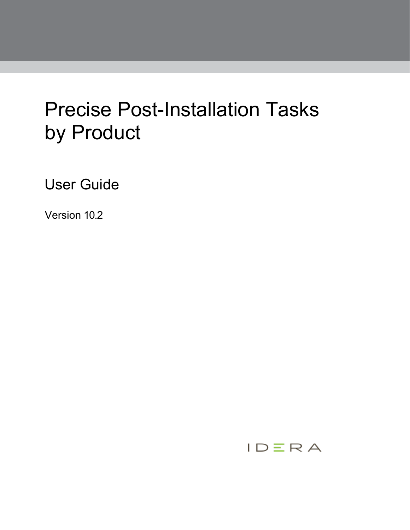# Precise Post-Installation Tasks by Product

User Guide

Version 10.2

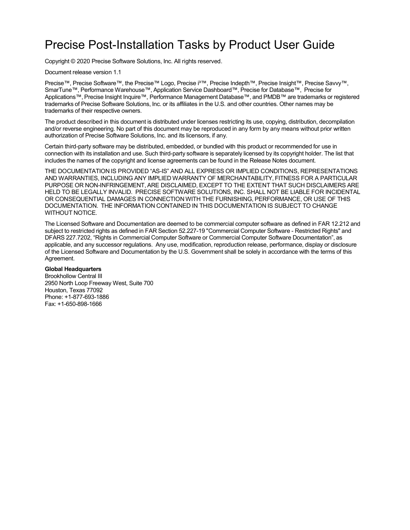## Precise Post-Installation Tasks by Product User Guide

Copyright © 2020 Precise Software Solutions, Inc. All rights reserved.

Document release version 1.1

Precise™, Precise Software™, the Precise™ Logo, Precise i<sup>3™</sup>, Precise Indepth™, Precise Insight™, Precise Savvy™, SmarTune™, Performance Warehouse™, Application Service Dashboard™, Precise for Database™, Precise for Applications™, Precise Insight Inquire™, Performance Management Database™, and PMDB™ are trademarks or registered trademarks of Precise Software Solutions, Inc. or its affiliates in the U.S. and other countries. Other names may be trademarks of their respective owners.

The product described in this document is distributed under licenses restricting its use, copying, distribution, decompilation and/or reverse engineering. No part of this document may be reproduced in any form by any means without prior written authorization of Precise Software Solutions, Inc. and its licensors, if any.

Certain third-party software may be distributed, embedded, or bundled with this product or recommended for use in connection with its installation and use. Such third-party software is separately licensed by its copyright holder. The list that includes the names of the copyright and license agreements can be found in the Release Notes document.

THE DOCUMENTATION IS PROVIDED "AS-IS" AND ALL EXPRESS OR IMPLIED CONDITIONS, REPRESENTATIONS AND WARRANTIES, INCLUDING ANY IMPLIED WARRANTY OF MERCHANTABILITY, FITNESS FOR A PARTICULAR PURPOSE OR NON-INFRINGEMENT, ARE DISCLAIMED, EXCEPT TO THE EXTENT THAT SUCH DISCLAIMERS ARE HELD TO BE LEGALLY INVALID. PRECISE SOFTWARE SOLUTIONS, INC. SHALL NOT BE LIABLE FOR INCIDENTAL OR CONSEQUENTIAL DAMAGES IN CONNECTION WITH THE FURNISHING, PERFORMANCE, OR USE OF THIS DOCUMENTATION. THE INFORMATION CONTAINED IN THIS DOCUMENTATION IS SUBJECT TO CHANGE WITHOUT NOTICE.

The Licensed Software and Documentation are deemed to be commercial computer software as defined in FAR 12.212 and subject to restricted rights as defined in FAR Section 52.227-19 "Commercial Computer Software - Restricted Rights" and DFARS 227.7202, "Rights in Commercial Computer Software or Commercial Computer Software Documentation", as applicable, and any successor regulations. Any use, modification, reproduction release, performance, display or disclosure of the Licensed Software and Documentation by the U.S. Government shall be solely in accordance with the terms of this Agreement.

#### **Global Headquarters**

Brookhollow Central III 2950 North Loop Freeway West, Suite 700 Houston, Texas 77092 Phone: +1-877-693-1886 Fax: +1-650-898-1666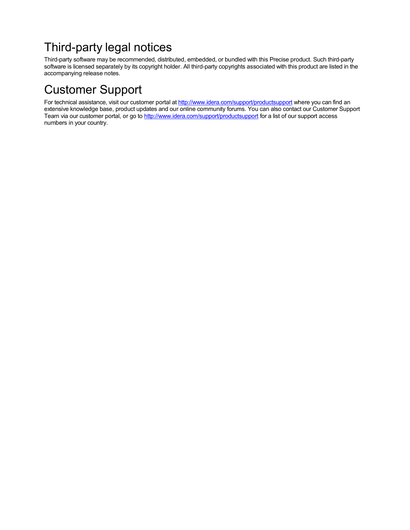## Third-party legal notices

Third-party software may be recommended, distributed, embedded, or bundled with this Precise product. Such third-party software is licensed separately by its copyright holder. All third-party copyrights associated with this product are listed in the accompanying release notes.

## Customer Support

For technical assistance, visit our customer portal a[t http://www.idera.com/support/productsupport](http://www.idera.com/support/productsupport) where you can find an extensive knowledge base, product updates and our online community forums. You can also contact our Customer Support Team via our customer portal, or go to <http://www.idera.com/support/productsupport> for a list of our support access numbers in your country.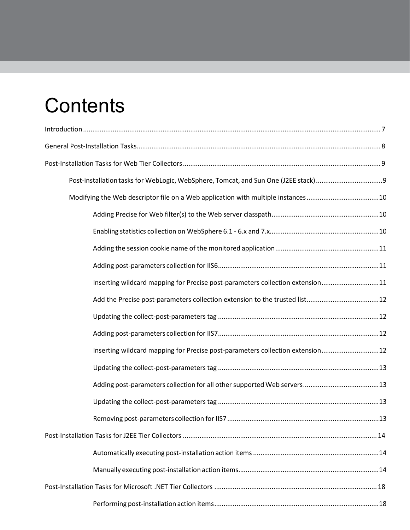# **Contents**

| Modifying the Web descriptor file on a Web application with multiple instances10 |  |
|----------------------------------------------------------------------------------|--|
|                                                                                  |  |
|                                                                                  |  |
|                                                                                  |  |
|                                                                                  |  |
| Inserting wildcard mapping for Precise post-parameters collection extension11    |  |
| Add the Precise post-parameters collection extension to the trusted list12       |  |
|                                                                                  |  |
|                                                                                  |  |
| Inserting wildcard mapping for Precise post-parameters collection extension12    |  |
|                                                                                  |  |
|                                                                                  |  |
|                                                                                  |  |
|                                                                                  |  |
|                                                                                  |  |
|                                                                                  |  |
|                                                                                  |  |
|                                                                                  |  |
|                                                                                  |  |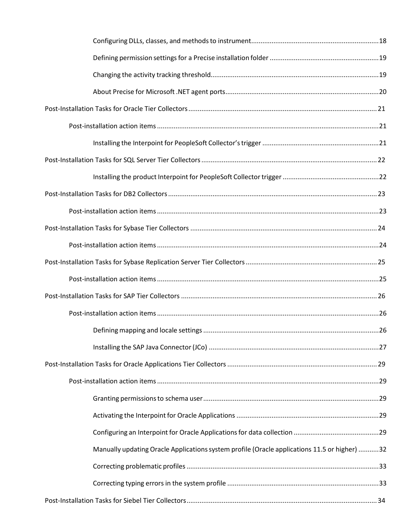| Manually updating Oracle Applications system profile (Oracle applications 11.5 or higher) 32 |  |
|----------------------------------------------------------------------------------------------|--|
|                                                                                              |  |
|                                                                                              |  |
|                                                                                              |  |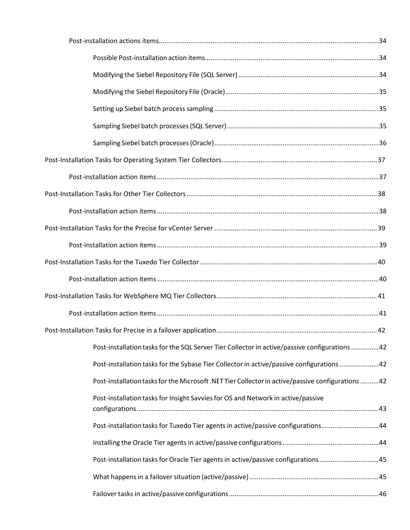| Post-installation tasks for the SQL Server Tier Collector in active/passive configurations 42     |
|---------------------------------------------------------------------------------------------------|
| Post-installation tasks for the Sybase Tier Collector in active/passive configurations 42         |
| Post-installation tasks for the Microsoft .NET Tier Collector in active/passive configurations 42 |
| Post-installation tasks for Insight Savvies for OS and Network in active/passive                  |
| Post-installation tasks for Tuxedo Tier agents in active/passive configurations44                 |
|                                                                                                   |
| Post-installation tasks for Oracle Tier agents in active/passive configurations 45                |
|                                                                                                   |
|                                                                                                   |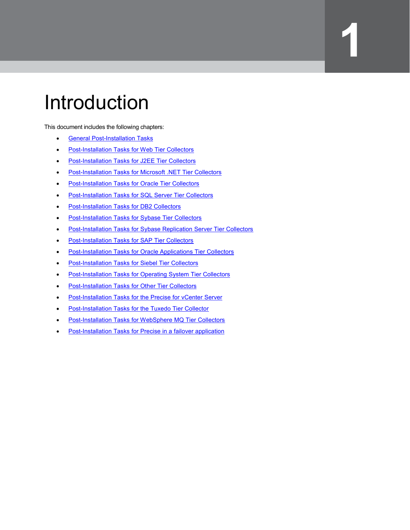## <span id="page-6-0"></span>Introduction

This document includes the following chapters:

- [General Post-Installation Tasks](#page-7-0)
- **[Post-Installation Tasks for Web Tier Collectors](#page-8-0)**
- [Post-Installation Tasks for J2EE Tier Collectors](#page-13-0)
- [Post-Installation Tasks for Microsoft .NET Tier Collectors](#page-17-0)
- **[Post-Installation Tasks for Oracle Tier Collectors](#page-20-0)**
- **[Post-Installation Tasks for SQL Server Tier Collectors](#page-21-0)**
- **[Post-Installation Tasks for DB2 Collectors](#page-22-0)**
- **[Post-Installation Tasks for Sybase Tier Collectors](#page-23-0)**
- [Post-Installation Tasks for Sybase Replication Server Tier Collectors](#page-24-0)

**1**

- **[Post-Installation Tasks for SAP Tier Collectors](#page-25-0)**
- [Post-Installation Tasks for Oracle Applications Tier Collectors](#page-28-0)
- **[Post-Installation Tasks for Siebel Tier Collectors](#page-33-0)**
- [Post-Installation Tasks for Operating System Tier Collectors](#page-36-0)
- [Post-Installation Tasks for Other Tier Collectors](#page-37-0)
- [Post-Installation Tasks for the Precise for vCenter Server](#page-38-0)
- **[Post-Installation Tasks for the Tuxedo Tier Collector](#page-39-0)**
- [Post-Installation Tasks for WebSphere MQ Tier Collectors](#page-40-0)
- [Post-Installation Tasks for Precise in a failover application](#page-41-0)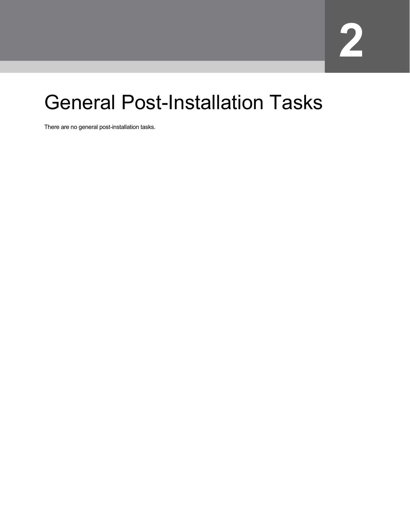# <span id="page-7-0"></span>General Post-Installation Tasks

There are no general post-installation tasks.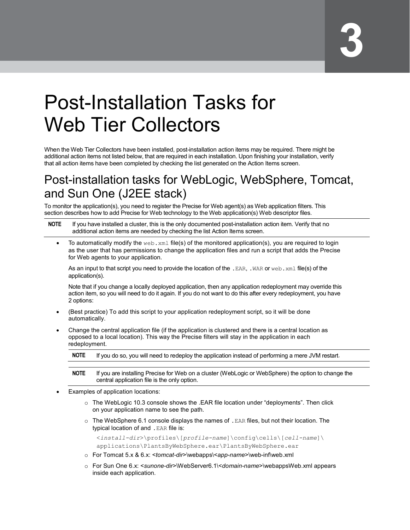# <span id="page-8-0"></span>Post-Installation Tasks for Web Tier Collectors

When the Web Tier Collectors have been installed, post-installation action items may be required. There might be additional action items not listed below, that are required in each installation. Upon finishing your installation, verify that all action items have been completed by checking the list generated on the Action Items screen.

## <span id="page-8-1"></span>Post-installation tasks for WebLogic, WebSphere, Tomcat, and Sun One (J2EE stack)

To monitor the application(s), you need to register the Precise for Web agent(s) as Web application filters. This section describes how to add Precise for Web technology to the Web application(s) Web descriptor files.

| <b>NOTE</b> | If you have installed a cluster, this is the only documented post-installation action item. Verify that no |
|-------------|------------------------------------------------------------------------------------------------------------|
|             | additional action items are needed by checking the list Action Items screen.                               |

To automatically modify the  $w \in b$ .  $x \in l$  file(s) of the monitored application(s), you are required to login as the user that has permissions to change the application files and run a script that adds the Precise for Web agents to your application.

As an input to that script you need to provide the location of the . EAR, . WAR or web. xml file(s) of the application(s).

Note that if you change a locally deployed application, then any application redeployment may override this action item, so you will need to do it again. If you do not want to do this after every redeployment, you have 2 options:

- (Best practice) To add this script to your application redeployment script, so it will be done automatically.
- Change the central application file (if the application is clustered and there is a central location as opposed to a local location). This way the Precise filters will stay in the application in each redeployment.

| <b>NOTE</b> |  |  | If you do so, you will need to redeploy the application instead of performing a mere JVM restart. |
|-------------|--|--|---------------------------------------------------------------------------------------------------|
|-------------|--|--|---------------------------------------------------------------------------------------------------|

- **NOTE** If you are installing Precise for Web on a cluster (WebLogic or WebSphere) the option to change the central application file is the only option.
- Examples of application locations:
	- $\circ$  The WebLogic 10.3 console shows the .EAR file location under "deployments". Then click on your application name to see the path.
	- $\circ$  The WebSphere 6.1 console displays the names of . EAR files, but not their location. The typical location of and .EAR file is:

<*install-dir*>\profiles\[*profile-name*]\config\cells\[*cell-name*]\ applications\PlantsByWebSphere.ear\PlantsByWebSphere.ear

- o For Tomcat 5.x & 6.x: <*tomcat-dir*>\webapps\<*app-name*>\web-inf\web.xml
- o For Sun One 6.x: <*sunone-dir*>\WebServer6.1\<*domain-name*>\webappsWeb.xml appears inside each application.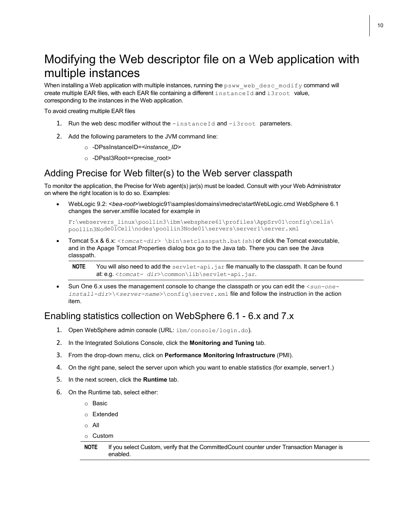## <span id="page-9-0"></span>Modifying the Web descriptor file on a Web application with multiple instances

When installing a Web application with multiple instances, running the  $psww$  web desc\_modify command will create multiple EAR files, with each EAR file containing a different  $instaneId$  and  $isroot$  value, corresponding to the instances in the Web application.

To avoid creating multiple EAR files

- 1. Run the web desc modifier without the -instanceId and -i3root parameters.
- 2. Add the following parameters to the JVM command line:
	- o -DPssInstanceID=*<instance\_ID>*
	- o -DPssI3Root=<precise\_root>

#### <span id="page-9-1"></span>Adding Precise for Web filter(s) to the Web server classpath

To monitor the application, the Precise for Web agent(s) jar(s) must be loaded. Consult with your Web Administrator on where the right location is to do so. Examples:

• WebLogic 9.2: <*bea-root*>\weblogic91\samples\domains\medrec\startWebLogic.cmd WebSphere 6.1 changes the server.xmlfile located for example in

```
F:\webservers_linux\poollin3\ibm\websphere61\profiles\AppSrv01\config\cells\
poollin3Node01Cell\nodes\poollin3Node01\servers\server1\server.xml
```
• Tomcat 5.x & 6.x: <*tomcat-dir*> \bin\setclasspath.bat(sh)or click the Tomcat executable, and in the Apage Tomcat Properties dialog box go to the Java tab. There you can see the Java classpath.

**NOTE** You will also need to add the servlet-api.jar file manually to the classpath. It can be found at: e.g. <*tomcat- dir*>\common\lib\servlet-api.jar.

• Sun One 6.x uses the management console to change the classpath or you can edit the <*sun-oneinstall-dir*>\<*server-name*>\config\server.xml file and follow the instruction in the action item.

#### <span id="page-9-2"></span>Enabling statistics collection on WebSphere 6.1 - 6.x and 7.x

- 1. Open WebSphere admin console (URL: ibm/console/login.do).
- 2. In the Integrated Solutions Console, click the **Monitoring and Tuning** tab.
- 3. From the drop-down menu, click on **Performance Monitoring Infrastructure** (PMI).
- 4. On the right pane, select the server upon which you want to enable statistics (for example, server1.)
- 5. In the next screen, click the **Runtime** tab.
- 6. On the Runtime tab, select either:
	- o Basic
	- o Extended
	- o All
	- o Custom

```
NOTE If you select Custom, verify that the CommittedCount counter under Transaction Manager is 
        enabled.
```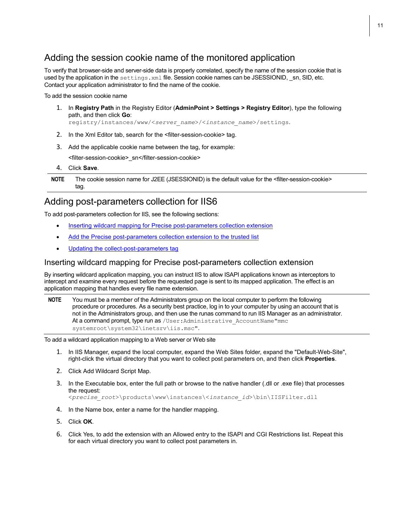#### <span id="page-10-0"></span>Adding the session cookie name of the monitored application

To verify that browser-side and server-side data is properly correlated, specify the name of the session cookie that is used by the application in the settings. xml file. Session cookie names can be JSESSIONID, sn, SID, etc. Contact your application administrator to find the name of the cookie.

To add the session cookie name

1. In **Registry Path** in the Registry Editor (**AdminPoint > Settings > Registry Editor**), type the following path, and then click **Go**:

registry/instances/www/<*server\_name*>/<*instance\_name*>/settings.

- 2. In the Xml Editor tab, search for the <filter-session-cookie> tag.
- 3. Add the applicable cookie name between the tag, for example:

<filter-session-cookie>\_sn</filter-session-cookie>

4. Click **Save**.

**NOTE** The cookie session name for J2EE (JSESSIONID) is the default value for the <filter-session-cookie> tag.

#### <span id="page-10-1"></span>Adding post-parameters collection for IIS6

To add post-parameters collection for IIS, see the following sections:

- Inserting wildcard mapping for [Precise post-parameters collection extension](#page-10-2)
- [Add the Precise post-parameters collection extension to the trusted list](#page-10-3)
- [Updating the collect-post-parameters](#page-11-1) tag

#### <span id="page-10-2"></span>Inserting wildcard mapping for Precise post-parameters collection extension

By inserting wildcard application mapping, you can instruct IIS to allow ISAPI applications known as interceptors to intercept and examine every request before the requested page is sent to its mapped application. The effect is an application mapping that handles every file name extension.

**NOTE** You must be a member of the Administrators group on the local computer to perform the following procedure or procedures. As a security best practice, log in to your computer by using an account that is not in the Administrators group, and then use the runas command to run IIS Manager as an administrator. At a command prompt, type run as /User: Administrative AccountName"mmc systemroot\system32\inetsrv\iis.msc".

To add a wildcard application mapping to a Web server or Web site

- 1. In IIS Manager, expand the local computer, expand the Web Sites folder, expand the "Default-Web-Site", right-click the virtual directory that you want to collect post parameters on, and then click **Properties**.
- 2. Click Add Wildcard Script Map.
- 3. In the Executable box, enter the full path or browse to the native handler (.dll or .exe file) that processes the request:

<*precise\_root*>\products\www\instances\<*instance\_id*>\bin\IISFilter.dll

- 4. In the Name box, enter a name for the handler mapping.
- 5. Click **OK**.
- <span id="page-10-3"></span>6. Click Yes, to add the extension with an Allowed entry to the ISAPI and CGI Restrictions list. Repeat this for each virtual directory you want to collect post parameters in.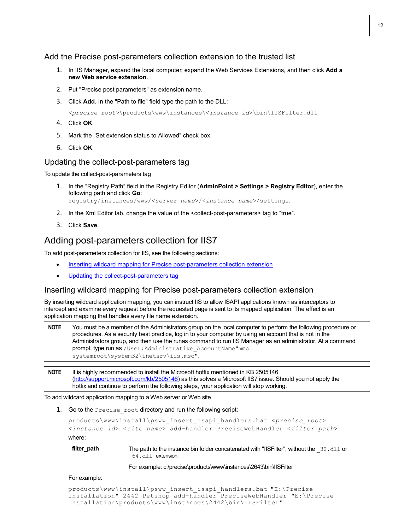<span id="page-11-0"></span>Add the Precise post-parameters collection extension to the trusted list

- 1. In IIS Manager, expand the local computer; expand the Web Services Extensions, and then click **Add a new Web service extension**.
- 2. Put "Precise post parameters" as extension name.
- 3. Click **Add**. In the "Path to file" field type the path to the DLL:

*<precise\_root>*\products\www\instances\<*instance\_id*>\bin\IISFilter.dll

- 4. Click **OK**.
- 5. Mark the "Set extension status to Allowed" check box.
- 6. Click **OK**.

#### <span id="page-11-1"></span>Updating the collect-post-parameters tag

To update the collect-post-parameters tag

- 1. In the "Registry Path" field in the Registry Editor (**AdminPoint > Settings > Registry Editor**), enter the following path and click **Go**: registry/instances/www/<*server\_name*>/<*instance\_name*>/settings.
- 2. In the Xml Editor tab, change the value of the <collect-post-parameters> tag to "true".
- 3. Click **Save**.

#### <span id="page-11-2"></span>Adding post-parameters collection for IIS7

To add post-parameters collection for IIS, see the following sections:

- Inserting wildcard mapping for [Precise post-parameters collection extension](#page-10-2)
- [Updating the collect-post-parameters](#page-11-1) tag

#### <span id="page-11-3"></span>Inserting wildcard mapping for Precise post-parameters collection extension

By inserting wildcard application mapping, you can instruct IIS to allow ISAPI applications known as interceptors to intercept and examine every request before the requested page is sent to its mapped application. The effect is an application mapping that handles every file name extension.

```
NOTE You must be a member of the Administrators group on the local computer to perform the following procedure or 
         procedures. As a security best practice, log in to your computer by using an account that is not in the 
         Administrators group, and then use the runas command to run IIS Manager as an administrator. At a command 
        prompt, type run as / User: Administrative AccountName"mmc
         systemroot\system32\inetsrv\iis.msc".
```
**NOTE** It is highly recommended to install the Microsoft hotfix mentioned in KB 2505146 [\(http://support.microsoft.com/kb/2505146\)](http://support.microsoft.com/kb/2505146) as this solves a Microsoft IIS7 issue. Should you not apply the hotfix and continue to perform the following steps, your application will stop working.

To add wildcard application mapping to a Web server or Web site

1. Go to the Precise root directory and run the following script:

```
products\www\install\psww_insert_isapi_handlers.bat <precise_root>
<instance_id> <site_name> add-handler PreciseWebHandler <filter_path>
where:
```

```
filter_path The path to the instance bin folder concatenated with "IISFilter", without the 32.dll or
                    _64.dll extension.
```
For example: c:\precise\products\www\instances\2643\bin\IISFilter

#### For example:

products\www\install\psww\_insert\_isapi\_handlers.bat "E:\Precise Installation" 2442 Petshop add-handler PreciseWebHandler "E:\Precise Installation\products\www\instances\2442\bin\IISFilter"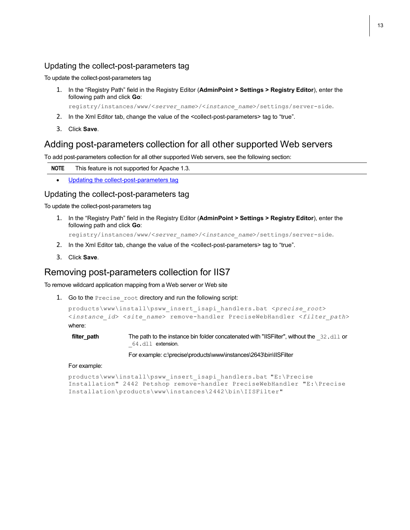#### <span id="page-12-0"></span>Updating the collect-post-parameters tag

To update the collect-post-parameters tag

1. In the "Registry Path" field in the Registry Editor (**AdminPoint > Settings > Registry Editor**), enter the following path and click **Go**:

registry/instances/www/<*server\_name*>/<*instance\_name*>/settings/server-side.

- 2. In the Xml Editor tab, change the value of the <collect-post-parameters> tag to "true".
- 3. Click **Save**.

#### <span id="page-12-1"></span>Adding post-parameters collection for all other supported Web servers

To add post-parameters collection for all other supported Web servers, see the following section:

**NOTE** This feature is not supported for Apache 1.3.

• [Updating the collect-post-parameters](#page-11-1) tag

#### <span id="page-12-2"></span>Updating the collect-post-parameters tag

To update the collect-post-parameters tag

1. In the "Registry Path" field in the Registry Editor (**AdminPoint > Settings > Registry Editor**), enter the following path and click **Go**:

registry/instances/www/<*server\_name*>/<*instance\_name*>/settings/server-side.

- 2. In the Xml Editor tab, change the value of the <collect-post-parameters> tag to "true".
- 3. Click **Save**.

#### <span id="page-12-3"></span>Removing post-parameters collection for IIS7

To remove wildcard application mapping from a Web server or Web site

1. Go to the Precise root directory and run the following script:

```
products\www\install\psww_insert_isapi_handlers.bat <precise_root>
<instance_id> <site_name> remove-handler PreciseWebHandler <filter_path>
where:
```
**filter\_path** The path to the instance bin folder concatenated with "IISFilter", without the 32.dll or 64.dll extension.

For example: c:\precise\products\www\instances\2643\bin\IISFilter

#### For example:

```
products\www\install\psww_insert_isapi_handlers.bat "E:\Precise
Installation" 2442 Petshop remove-handler PreciseWebHandler "E:\Precise
Installation\products\www\instances\2442\bin\IISFilter"
```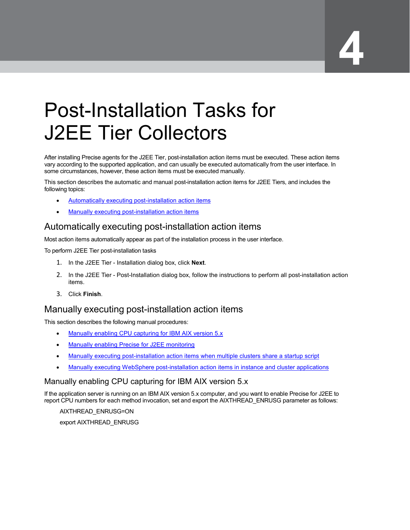# <span id="page-13-0"></span>Post-Installation Tasks for J2EE Tier Collectors

After installing Precise agents for the J2EE Tier, post-installation action items must be executed. These action items vary according to the supported application, and can usually be executed automatically from the user interface. In some circumstances, however, these action items must be executed manually.

This section describes the automatic and manual post-installation action items for J2EE Tiers, and includes the following topics:

- Automatically [executing post-installation action](#page-13-1) items
- [Manually executing post-installation action items](#page-13-2)

#### <span id="page-13-1"></span>Automatically executing post-installation action items

Most action items automatically appear as part of the installation process in the user interface.

To perform J2EE Tier post-installation tasks

- 1. In the J2EE Tier Installation dialog box, click **Next**.
- 2. In the J2EE Tier Post-Installation dialog box, follow the instructions to perform all post-installation action items.
- 3. Click **Finish**.

#### <span id="page-13-2"></span>Manually executing post-installation action items

This section describes the following manual procedures:

- [Manually enabling CPU capturing for IBM AIX version 5.x](#page-13-3)
- [Manually enabling Precise for](#page-13-4) J2EE monitoring
- [Manually executing post-installation action items when multiple clusters share a startup](#page-14-0) script
- [Manually executing WebSphere post-installation action items](#page-15-0) in instance and cluster applications

#### <span id="page-13-3"></span>Manually enabling CPU capturing for IBM AIX version 5.x

If the application server is running on an IBM AIX version 5.x computer, and you want to enable Precise for J2EE to report CPU numbers for each method invocation, set and export the AIXTHREAD\_ENRUSG parameter as follows:

<span id="page-13-4"></span>AIXTHREAD\_ENRUSG=ON export AIXTHREAD\_ENRUSG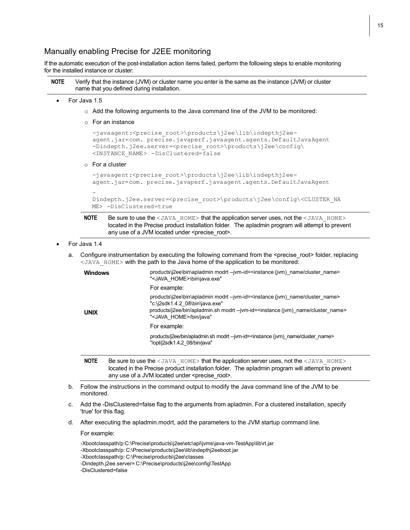#### Manually enabling Precise for J2EE monitoring

If the automatic execution of the post-installation action items failed, perform the following steps to enable monitoring for the installed instance or cluster:

| <b>NOTE</b> | Verify that the instance (JVM) or cluster name you enter is the same as the instance (JVM) or cluster |
|-------------|-------------------------------------------------------------------------------------------------------|
|             | name that you defined during installation.                                                            |

- For Java 1.5
	- $\circ$  Add the following arguments to the Java command line of the JVM to be monitored:
	- o For an instance

```
-javaagent:<precise_root>\products\j2ee\lib\indepthj2ee-
agent.jar=com. precise.javaperf.javaagent.agents.DefaultJavaAgent
-Dindepth.j2ee.server=<precise_root>\products\j2ee\config\
<INSTANCE_NAME> -DisClustered=false
```
o For a cluster

```
-javaagent:<precise root>\products\j2ee\lib\indepthj2ee-
agent.jar=com. precise.javaperf.javaagent.agents.DefaultJavaAgent
```

```
-
Dindepth.j2ee.server=<precise_root>\products\j2ee\config\<CLUSTER_NA
ME> -DisClustered=true
```

```
NOTE Be sure to use the <JAVA_HOME> that the application server uses, not the <JAVA_HOME>
         located in the Precise product installation folder. The apladmin program will attempt to prevent
         any use of a JVM located under <precise_root>.
```
- For Java 1.4
	- a. Configure instrumentation by executing the following command from the <precise root> folder, replacing <JAVA\_HOME> with the path to the Java home of the application to be monitored:

| <b>Windows</b> | products\j2ee\bin\apladmin modrt --jvm-id= <instance (jvm)="" cluster="" name=""><br/>"<java home="">\bin\java.exe"</java></instance>                                                                                                                                    |
|----------------|--------------------------------------------------------------------------------------------------------------------------------------------------------------------------------------------------------------------------------------------------------------------------|
|                | For example:                                                                                                                                                                                                                                                             |
| <b>UNIX</b>    | products\j2ee\bin\apladmin modrt --jvm-id= <instance (jvm)="" cluster="" name=""><br/>"c:\j2sdk1.4.2 08\bin\java.exe"<br/>products/i2ee/bin/apladmin.sh modrt --jvm-id=<instance (jvm)="" cluster="" name=""><br/>"<java home="">/bin/java"</java></instance></instance> |
|                | For example:                                                                                                                                                                                                                                                             |
|                | products/i2ee/bin/apladmin.sh modrt --jvm-id= <instance (jvm)="" cluster="" name=""><br/>"/opt/j2sdk1.4.2 08/bin/java"</instance>                                                                                                                                        |

```
NOTE Be sure to use the <JAVA_HOME> that the application server uses, not the <JAVA_HOME>
        located in the Precise product installation folder. The apladmin program will attempt to prevent
        any use of a JVM located under <precise_root>.
```
- b. Follow the instructions in the command output to modify the Java command line of the JVM to be monitored.
- c. Add the -DisClustered=false flag to the arguments from apladmin. For a clustered installation, specify 'true' for this flag.
- d. After executing the apladmin.modrt, add the parameters to the JVM startup command line.

For example:

<span id="page-14-0"></span>-Xbootclasspath/p:C:\Precise\products\j2ee\etc\apl\jvms\java-vm-TestApp\lib\rt.jar -Xbootclasspath/p: C:\Precise\products\j2ee\lib\indepthj2eeboot.jar -Xbootclasspath/p: C:\Precise\products\j2ee\classes -Dindepth.j2ee.server= C:\Precise\products\j2ee\config\TestApp -DisClustered=false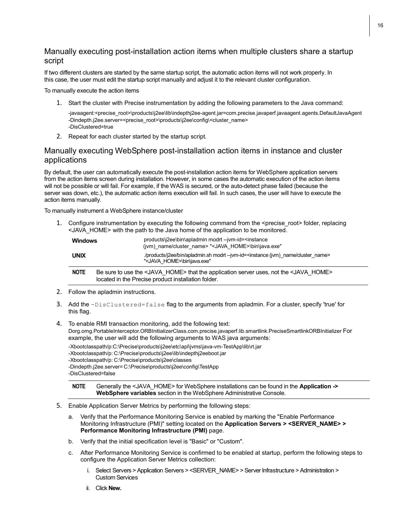#### Manually executing post-installation action items when multiple clusters share a startup script

If two different clusters are started by the same startup script, the automatic action items will not work properly. In this case, the user must edit the startup script manually and adjust it to the relevant cluster configuration.

To manually execute the action items

1. Start the cluster with Precise instrumentation by adding the following parameters to the Java command:

-javaagent:<precise\_root>\products\j2ee\lib\indepthj2ee-agent.jar=com.precise.javaperf.javaagent.agents.DefaultJavaAgent -Dindepth.j2ee.server=<precise\_root>\products\j2ee\config\<cluster\_name> -DisClustered=true

2. Repeat for each cluster started by the startup script.

#### <span id="page-15-0"></span>Manually executing WebSphere post-installation action items in instance and cluster applications

By default, the user can automatically execute the post-installation action items for WebSphere application servers from the action items screen during installation. However, in some cases the automatic execution of the action items will not be possible or will fail. For example, if the WAS is secured, or the auto-detect phase failed (because the server was down, etc.), the automatic action items execution will fail. In such cases, the user will have to execute the action items manually.

To manually instrument a WebSphere instance/cluster

1. Configure instrumentation by executing the following command from the <precise\_root> folder, replacing <JAVA\_HOME> with the path to the Java home of the application to be monitored.

| <b>Windows</b> | products\j2ee\bin\apladmin modrt --jvm-id= <instance<br>(ivm) name/cluster name&gt; "<java home="">\bin\java.exe"</java></instance<br>                           |
|----------------|------------------------------------------------------------------------------------------------------------------------------------------------------------------|
| <b>UNIX</b>    | /products/j2ee/bin/apladmin.sh modrt --jvm-id= <instance (jvm)="" cluster="" name=""><br/>"<java home="">\bin\java.exe"</java></instance>                        |
| <b>NOTE</b>    | Be sure to use the <java home=""> that the application server uses, not the <java home=""><br/>located in the Precise product installation folder.</java></java> |

- 2. Follow the apladmin instructions.
- 3. Add the -DisClustered=false flag to the arguments from apladmin. For a cluster, specify 'true' for this flag.
- 4. To enable RMI transaction monitoring, add the following text: Dorg.omg.PortableInterceptor.ORBInitializerClass.com.precise.javaperf.lib.smartlink.PreciseSmartlinkORBInitializer For example, the user will add the following arguments to WAS java arguments:

-Xbootclasspath/p:C:\Precise\products\j2ee\etc\apl\jvms\java-vm-TestApp\lib\rt.jar -Xbootclasspath/p: C:\Precise\products\j2ee\lib\indepthj2eeboot.jar -Xbootclasspath/p: C:\Precise\products\j2ee\classes -Dindepth.j2ee.server= C:\Precise\products\j2ee\config\TestApp -DisClustered=false

**NOTE** Generally the <JAVA\_HOME> for WebSphere installations can be found in the **Application -> WebSphere variables** section in the WebSphere Administrative Console.

- 5. Enable Application Server Metrics by performing the following steps:
	- a. Verify that the Performance Monitoring Service is enabled by marking the "Enable Performance Monitoring Infrastructure (PMI)" setting located on the **Application Servers > <SERVER\_NAME> > Performance Monitoring Infrastructure (PMI)** page.
	- b. Verify that the initial specification level is "Basic" or "Custom".
	- c. After Performance Monitoring Service is confirmed to be enabled at startup, perform the following steps to configure the Application Server Metrics collection:
		- i. Select Servers > Application Servers > <SERVER\_NAME> > Server Infrastructure > Administration > Custom Services
		- ii. Click **New.**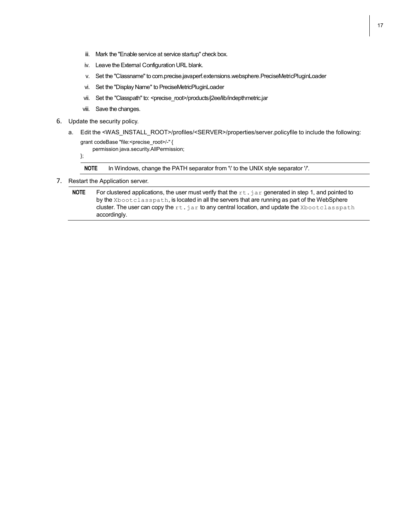- iii. Mark the "Enable service at service startup" check box.
- iv. Leave the External Configuration URL blank.
- v. Set the "Classname" to com.precise.javaperf.extensions.websphere.PreciseMetricPluginLoader
- vi. Set the "Display Name" to PreciseMetricPluginLoader
- vii. Set the "Classpath" to: <precise\_root>/products/j2ee/lib/indepthmetric.jar
- viii. Save the changes.
- 6. Update the security policy.
	- a. Edit the <WAS\_INSTALL\_ROOT>/profiles/<SERVER>/properties/server.policyfile to include the following:

```
grant codeBase "file:<precise_root>/-" {
    permission java.security.AllPermission;
```
};

**NOTE** In Windows, change the PATH separator from '\' to the UNIX style separator '/'.

7. Restart the Application server.

**NOTE** For clustered applications, the user must verify that the rt. jar generated in step 1, and pointed to by the Xbootclasspath, is located in all the servers that are running as part of the WebSphere cluster. The user can copy the  $rt.jar$  to any central location, and update the Xbootclasspath accordingly.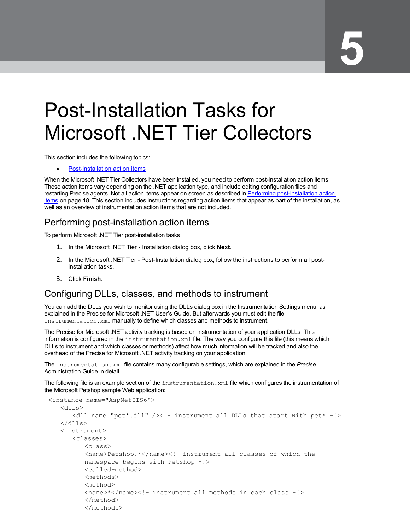## <span id="page-17-0"></span>Post-Installation Tasks for Microsoft .NET Tier Collectors

This section includes the following topics:

**Post-installation action items** 

When the Microsoft .NET Tier Collectors have been installed, you need to perform post-installation action items. These action items vary depending on the .NET application type, and include editing configuration files and restarting Precise agents. Not all action items appear on screen as described in [Performing post-installation](#page-17-1) action [items](#page-17-1) on pag[e 18.](#page-17-1) This section includes instructions regarding action items that appear as part of the installation, as well as an overview of instrumentation action items that are not included.

#### <span id="page-17-1"></span>Performing post-installation action items

To perform Microsoft .NET Tier post-installation tasks

- 1. In the Microsoft .NET Tier Installation dialog box, click **Next**.
- 2. In the Microsoft .NET Tier Post-Installation dialog box, follow the instructions to perform all postinstallation tasks.
- 3. Click **Finish**.

#### <span id="page-17-2"></span>Configuring DLLs, classes, and methods to instrument

You can add the DLLs you wish to monitor using the DLLs dialog box in the Instrumentation Settings menu, as explained in the Precise for Microsoft .NET User's Guide. But afterwards you must edit the file instrumentation.xml manually to define which classes and methods to instrument.

The Precise for Microsoft .NET activity tracking is based on instrumentation of your application DLLs. This information is configured in the instrumentation. xml file. The way you configure this file (this means which DLLs to instrument and which classes or methods) affect how much information will be tracked and also the overhead of the Precise for Microsoft .NET activity tracking on your application.

The instrumentation.xml file contains many configurable settings, which are explained in the *Precise* Administration Guide in detail.

The following file is an example section of the instrumentation. xml file which configures the instrumentation of the Microsoft Petshop sample Web application:

```
<instance name="AspNetIIS6">
   <dlls>
      <dll name="pet*.dll" /><!- instrument all DLLs that start with pet* -!>
   \langle/dlls>
   <instrument>
      <classes>
         <class>
         <name>Petshop.*</name><!- instrument all classes of which the
         namespace begins with Petshop -!>
         <called-method>
         <methods>
         <method>
         <name>*</name><!- instrument all methods in each class -!>
         </method>
         </methods>
```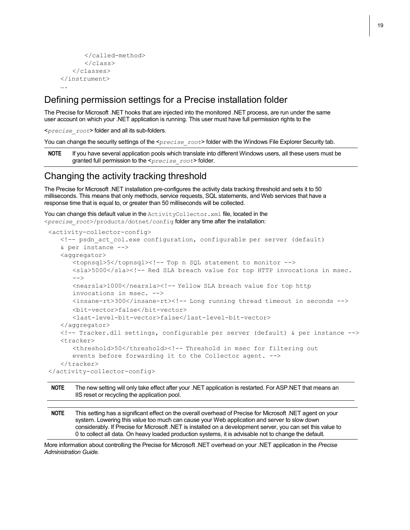```
</called-method>
      </class>
   </classes>
</instrument>
….
```
#### <span id="page-18-0"></span>Defining permission settings for a Precise installation folder

The Precise for Microsoft .NET hooks that are injected into the monitored .NET process, are run under the same user account on which your .NET application is running. This user must have full permission rights to the

<*precise\_root*> folder and all its sub-folders.

You can change the security settings of the <*precise\_root*> folder with the Windows File Explorer Security tab.

**NOTE** If you have several application pools which translate into different Windows users, all these users must be granted full permission to the <*precise\_root*> folder.

#### <span id="page-18-1"></span>Changing the activity tracking threshold

The Precise for Microsoft .NET installation pre-configures the activity data tracking threshold and sets it to 50 milliseconds. This means that only methods, service requests, SQL statements, and Web services that have a response time that is equal to, or greater than 50 milliseconds will be collected.

You can change this default value in the ActivityCollector.xml file, located in the <*precise\_root*>/products/dotnet/config folder any time after the installation:

```
<activity-collector-config>
   <!-- psdn_act_col.exe configuration, configurable per server (default)
   & per instance -->
   <aggregator>
      <topnsql>5</topnsql><!-- Top n SQL statement to monitor -->
      <sla>5000</sla><!-- Red SLA breach value for top HTTP invocations in msec.
      --<nearsla>1000</nearsla><!-- Yellow SLA breach value for top http
      invocations in msec. -->
      <insane-rt>300</insane-rt><!-- Long running thread timeout in seconds -->
      <bit-vector>false</bit-vector>
      <last-level-bit-vector>false</last-level-bit-vector>
   </aggregator>
   <!-- Tracker.dll settings, configurable per server (default) & per instance -->
   <tracker>
      <threshold>50</threshold><!-- Threshold in msec for filtering out
      events before forwarding it to the Collector agent. -->
   </tracker>
</activity-collector-config>
```
**NOTE** The new setting will only take effect after your .NET application is restarted. For ASP.NET that means an IIS reset or recycling the application pool.

**NOTE** This setting has a significant effect on the overall overhead of Precise for Microsoft .NET agent on your system. Lowering this value too much can cause your Web application and server to slow down considerably. If Precise for Microsoft .NET is installed on a development server, you can set this value to 0 to collect all data. On heavy loaded production systems, it is advisable not to change the default.

More information about controlling the Precise for Microsoft .NET overhead on your .NET application in the *Precise Administration Guide.*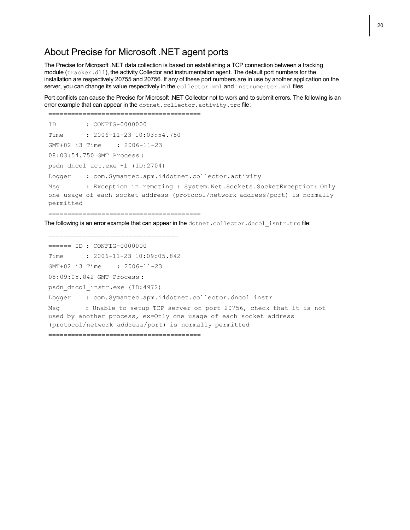#### <span id="page-19-0"></span>About Precise for Microsoft .NET agent ports

The Precise for Microsoft .NET data collection is based on establishing a TCP connection between a tracking module (tracker.dll), the activity Collector and instrumentation agent. The default port numbers for the installation are respectively 20755 and 20756. If any of these port numbers are in use by another application on the server, you can change its value respectively in the collector.xml and instrumenter.xml files.

Port conflicts can cause the Precise for Microsoft .NET Collector not to work and to submit errors. The following is an error example that can appear in the dotnet.collector.activity.trc file:

```
========================================
ID : CONFIG-0000000
Time : 2006-11-23 10:03:54.750
GMT+02 i3 Time : 2006-11-23
08:03:54.750 GMT Process :
psdn_dncol_act.exe -l (ID:2704)
Logger : com.Symantec.apm.i4dotnet.collector.activity
Msg : Exception in remoting : System.Net.Sockets.SocketException: Only
one usage of each socket address (protocol/network address/port) is normally
permitted
```
========================================

The following is an error example that can appear in the  $dot$ cothet.collector.dncol\_isntr.trc file:

==================================

====== ID : CONFIG-0000000

Time : 2006-11-23 10:09:05.842

GMT+02 i3 Time : 2006-11-23

08:09:05.842 GMT Process :

psdn\_dncol\_instr.exe (ID:4972)

Logger : com. Symantec.apm. i4dotnet.collector.dncol\_instr

Msg : Unable to setup TCP server on port 20756, check that it is not used by another process, ex=Only one usage of each socket address (protocol/network address/port) is normally permitted

========================================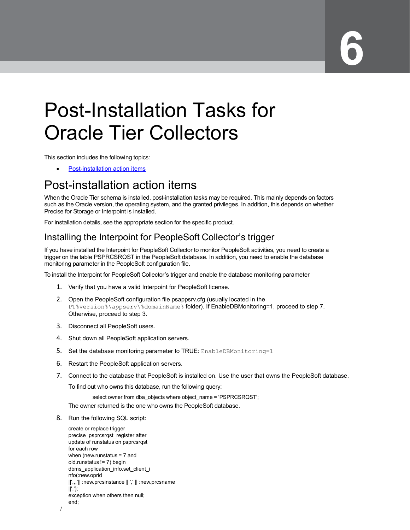# <span id="page-20-0"></span>Post-Installation Tasks for Oracle Tier Collectors

This section includes the following topics:

• [Post-installation action items](#page-20-1)

### <span id="page-20-1"></span>Post-installation action items

When the Oracle Tier schema is installed, post-installation tasks may be required. This mainly depends on factors such as the Oracle version, the operating system, and the granted privileges. In addition, this depends on whether Precise for Storage or Interpoint is installed.

For installation details, see the appropriate section for the specific product.

#### <span id="page-20-2"></span>Installing the Interpoint for PeopleSoft Collector's trigger

If you have installed the Interpoint for PeopleSoft Collector to monitor PeopleSoft activities, you need to create a trigger on the table PSPRCSRQST in the PeopleSoft database. In addition, you need to enable the database monitoring parameter in the PeopleSoft configuration file.

To install the Interpoint for PeopleSoft Collector's trigger and enable the database monitoring parameter

- 1. Verify that you have a valid Interpoint for PeopleSoft license.
- 2. Open the PeopleSoft configuration file psappsrv.cfg (usually located in the PT%version%\appserv\%domainName% folder). If EnableDBMonitoring=1, proceed to step 7. Otherwise, proceed to step 3.
- 3. Disconnect all PeopleSoft users.
- 4. Shut down all PeopleSoft application servers.
- 5. Set the database monitoring parameter to TRUE: EnableDBMonitoring=1
- 6. Restart the PeopleSoft application servers.
- 7. Connect to the database that PeopleSoft is installed on. Use the user that owns the PeopleSoft database.

To find out who owns this database, run the following query:

select owner from dba\_objects where object\_name = 'PSPRCSRQST';

The owner returned is the one who owns the PeopleSoft database.

8. Run the following SQL script:

create or replace trigger precise\_psprcsrqst\_register after update of runstatus on psprcsrqst for each row when (new.runstatus = 7 and old.runstatus != 7) begin dbms application info.set client i nfo(:new.oprid ||',,,'|| :new.prcsinstance || ',' || :new.prcsname  $||'.$ exception when others then null; end;

```
/
```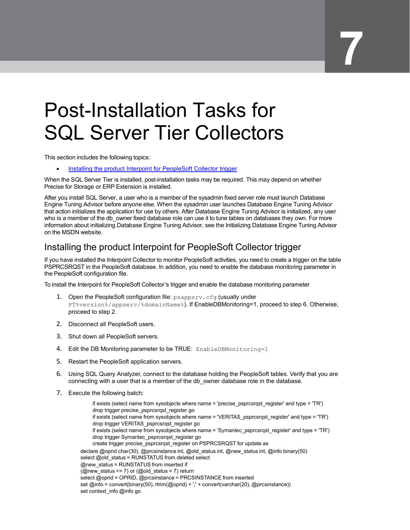## <span id="page-21-0"></span>Post-Installation Tasks for SQL Server Tier Collectors

This section includes the following topics:

[Installing the product Interpoint for PeopleSoft Collector trigger](#page-21-1)

When the SQL Server Tier is installed, post-installation tasks may be required. This may depend on whether Precise for Storage or ERP Extension is installed.

After you install SQL Server, a user who is a member of the sysadmin fixed server role must launch Database Engine Tuning Advisor before anyone else. When the sysadmin user launches Database Engine Tuning Advisor that action initializes the application for use by others. After Database Engine Tuning Advisor is initialized, any user who is a member of the db owner fixed database role can use it to tune tables on databases they own. For more information about initializing Database Engine Tuning Advisor, see the Initializing Database Engine Tuning Advisor on the MSDN website.

#### <span id="page-21-1"></span>Installing the product Interpoint for PeopleSoft Collector trigger

If you have installed the Interpoint Collector to monitor PeopleSoft activities, you need to create a trigger on the table PSPRCSRQST in the PeopleSoft database. In addition, you need to enable the database monitoring parameter in the PeopleSoft configuration file.

To install the Interpoint for PeopleSoft Collector's trigger and enable the database monitoring parameter

- 1. Open the PeopleSoft configuration file: psappsrv.cfg (usually under PT%version%/appserv/%domainName%). If EnableDBMonitoring=1, proceed to step 6. Otherwise, proceed to step 2.
- 2. Disconnect all PeopleSoft users.
- 3. Shut down all PeopleSoft servers.
- 4. Edit the DB Monitoring parameter to be TRUE: EnableDBMonitoring=1
- 5. Restart the PeopleSoft application servers.
- 6. Using SQL Query Analyzer, connect to the database holding the PeopleSoft tables. Verify that you are connecting with a user that is a member of the db owner database role in the database.
- 7. Execute the following batch:

if exists (select name from sysobjects where name = 'precise\_psprcsrqst\_register' and type = 'TR') drop trigger precise\_psprcsrqst\_register go if exists (select name from sysobjects where name = 'VERITAS\_psprcsrqst\_register' and type = 'TR') drop trigger VERITAS\_psprcsrqst\_register go if exists (select name from sysobjects where name = 'Symantec\_psprcsrqst\_register' and type = 'TR') drop trigger Symantec\_psprcsrqst\_register go create trigger precise\_psprcsrqst\_register on PSPRCSRQST for update as declare @oprid char(30), @prcsinstance int, @old\_status int, @new\_status int, @info binary(50) select @old\_status = RUNSTATUS from deleted select @new\_status = RUNSTATUS from inserted if (@new\_status <> 7) or (@old\_status = 7) return select @oprid = OPRID, @prcsinstance = PRCSINSTANCE from inserted set @info = convert(binary(50), rtrim(@oprid) + ',' + convert(varchar(20), @prcsinstance)) set context\_info @info go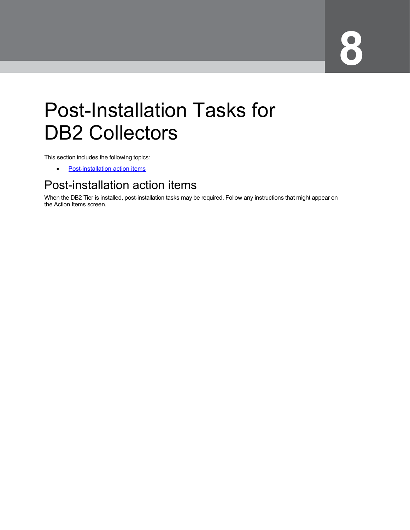# <span id="page-22-0"></span>Post-Installation Tasks for DB2 Collectors

This section includes the following topics:

• [Post-installation action items](#page-22-1)

### <span id="page-22-1"></span>Post-installation action items

When the DB2 Tier is installed, post-installation tasks may be required. Follow any instructions that might appear on the Action Items screen.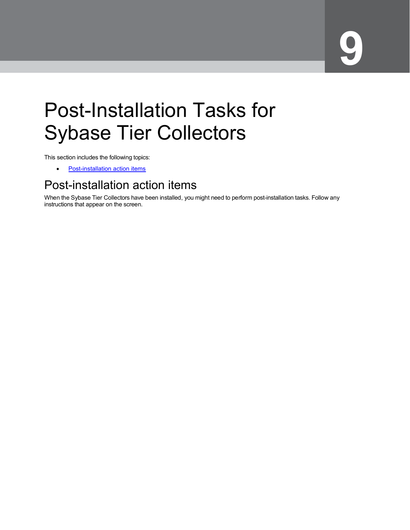# <span id="page-23-0"></span>Post-Installation Tasks for Sybase Tier Collectors

This section includes the following topics:

• [Post-installation action items](#page-23-1)

### <span id="page-23-1"></span>Post-installation action items

When the Sybase Tier Collectors have been installed, you might need to perform post-installation tasks. Follow any instructions that appear on the screen.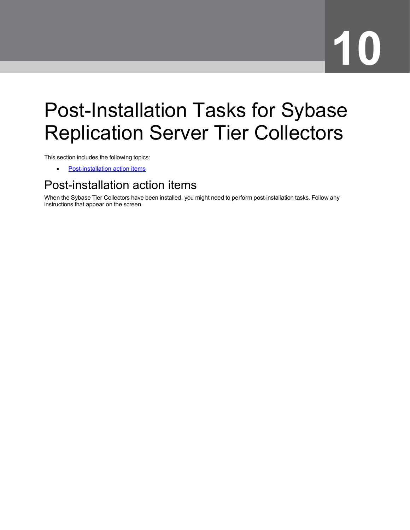# <span id="page-24-0"></span>Post-Installation Tasks for Sybase Replication Server Tier Collectors

This section includes the following topics:

• [Post-installation action items](#page-24-1)

## <span id="page-24-1"></span>Post-installation action items

When the Sybase Tier Collectors have been installed, you might need to perform post-installation tasks. Follow any instructions that appear on the screen.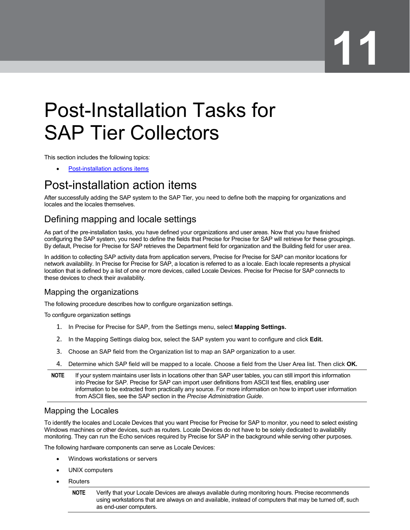# <span id="page-25-0"></span>Post-Installation Tasks for SAP Tier Collectors

This section includes the following topics:

• [Post-installation actions items](#page-25-1)

## <span id="page-25-1"></span>Post-installation action items

After successfully adding the SAP system to the SAP Tier, you need to define both the mapping for organizations and locales and the locales themselves.

### <span id="page-25-2"></span>Defining mapping and locale settings

As part of the pre-installation tasks, you have defined your organizations and user areas. Now that you have finished configuring the SAP system, you need to define the fields that Precise for Precise for SAP will retrieve for these groupings. By default, Precise for Precise for SAP retrieves the Department field for organization and the Building field for user area.

In addition to collecting SAP activity data from application servers, Precise for Precise for SAP can monitor locations for network availability. In Precise for Precise for SAP, a location is referred to as a locale. Each locale represents a physical location that is defined by a list of one or more devices, called Locale Devices. Precise for Precise for SAP connects to these devices to check their availability.

#### Mapping the organizations

The following procedure describes how to configure organization settings.

To configure organization settings

- 1. In Precise for Precise for SAP, from the Settings menu, select **Mapping Settings.**
- 2. In the Mapping Settings dialog box, select the SAP system you want to configure and click **Edit.**
- 3. Choose an SAP field from the Organization list to map an SAP organization to a user.
- 4. Determine which SAP field will be mapped to a locale. Choose a field from the User Area list. Then click **OK.**
- **NOTE** If your system maintains user lists in locations other than SAP user tables, you can still import this information into Precise for SAP. Precise for SAP can import user definitions from ASCII text files, enabling user information to be extracted from practically any source. For more information on how to import user information from ASCII files, see the SAP section in the *Precise Administration Guide*.

#### Mapping the Locales

To identify the locales and Locale Devices that you want Precise for Precise for SAP to monitor, you need to select existing Windows machines or other devices, such as routers. Locale Devices do not have to be solely dedicated to availability monitoring. They can run the Echo services required by Precise for SAP in the background while serving other purposes.

The following hardware components can serve as Locale Devices:

- Windows workstations or servers
- UNIX computers
- Routers

**NOTE** Verify that your Locale Devices are always available during monitoring hours. Precise recommends using workstations that are always on and available, instead of computers that may be turned off, such as end-user computers.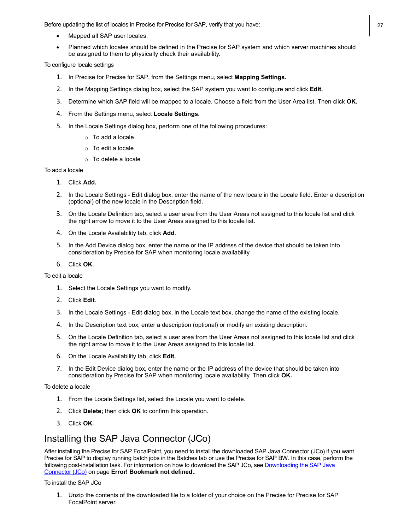Before updating the list of locales in Precise for Precise for SAP, verify that you have: 27

- Mapped all SAP user locales.
- Planned which locales should be defined in the Precise for SAP system and which server machines should be assigned to them to physically check their availability.

To configure locale settings

- 1. In Precise for Precise for SAP, from the Settings menu, select **Mapping Settings.**
- 2. In the Mapping Settings dialog box, select the SAP system you want to configure and click **Edit.**
- 3. Determine which SAP field will be mapped to a locale. Choose a field from the User Area list. Then click **OK.**
- 4. From the Settings menu, select **Locale Settings.**
- 5. In the Locale Settings dialog box, perform one of the following procedures:
	- o To add a locale
	- o To edit a locale
	- o To delete a locale

#### To add a locale

- 1. Click **Add.**
- 2. In the Locale Settings Edit dialog box, enter the name of the new locale in the Locale field. Enter a description (optional) of the new locale in the Description field.
- 3. On the Locale Definition tab, select a user area from the User Areas not assigned to this locale list and click the right arrow to move it to the User Areas assigned to this locale list.
- 4. On the Locale Availability tab, click **Add**.
- 5. In the Add Device dialog box, enter the name or the IP address of the device that should be taken into consideration by Precise for SAP when monitoring locale availability.
- 6. Click **OK.**

To edit a locale

- 1. Select the Locale Settings you want to modify.
- 2. Click **Edit**.
- 3. In the Locale Settings Edit dialog box, in the Locale text box, change the name of the existing locale.
- 4. In the Description text box, enter a description (optional) or modify an existing description.
- 5. On the Locale Definition tab, select a user area from the User Areas not assigned to this locale list and click the right arrow to move it to the User Areas assigned to this locale list.
- 6. On the Locale Availability tab, click **Edit.**
- 7. In the Edit Device dialog box, enter the name or the IP address of the device that should be taken into consideration by Precise for SAP when monitoring locale availability. Then click **OK.**

To delete a locale

- 1. From the Locale Settings list, select the Locale you want to delete.
- 2. Click **Delete;** then click **OK** to confirm this operation.
- 3. Click **OK.**

#### <span id="page-26-0"></span>Installing the SAP Java Connector (JCo)

After installing the Precise for SAP FocalPoint, you need to install the downloaded SAP Java Connector (JCo) if you want Precise for SAP to display running batch jobs in the Batches tab or use the Precise for SAP BW. In this case, perform the following post-installation task. For information on how to download the SAP JCo, se[e Downloading the SAP](#page-25-1) Java [Connector \(JCo\)](#page-25-1) on page **Error! Bookmark not defined.**.

To install the SAP JCo

1. Unzip the contents of the downloaded file to a folder of your choice on the Precise for Precise for SAP FocalPoint server.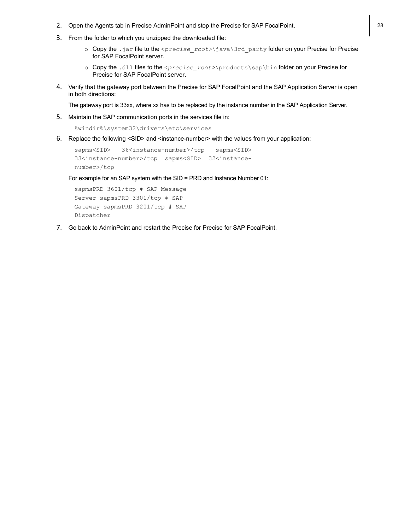- 2. Open the Agents tab in Precise AdminPoint and stop the Precise for SAP FocalPoint. 28
- 3. From the folder to which you unzipped the downloaded file:
	- o Copy the .jar file to the <*precise\_root>*\java\3rd\_party folder on your Precise for Precise for SAP FocalPoint server.
	- o Copy the .dll files to the <*precise\_root>*\products\sap\bin folder on your Precise for Precise for SAP FocalPoint server.
- 4. Verify that the gateway port between the Precise for SAP FocalPoint and the SAP Application Server is open in both directions:

The gateway port is 33xx, where xx has to be replaced by the instance number in the SAP Application Server.

5. Maintain the SAP communication ports in the services file in:

```
%windir%\system32\drivers\etc\services
```
6. Replace the following <SID> and <instance-number> with the values from your application:

```
sapms<SID> 36<instance-number>/tcp sapms<SID>
33<instance-number>/tcp sapms<SID> 32<instance-
number>/tcp
```
For example for an SAP system with the SID = PRD and Instance Number 01:

```
sapmsPRD 3601/tcp # SAP Message 
Server sapmsPRD 3301/tcp # SAP 
Gateway sapmsPRD 3201/tcp # SAP 
Dispatcher
```
7. Go back to AdminPoint and restart the Precise for Precise for SAP FocalPoint.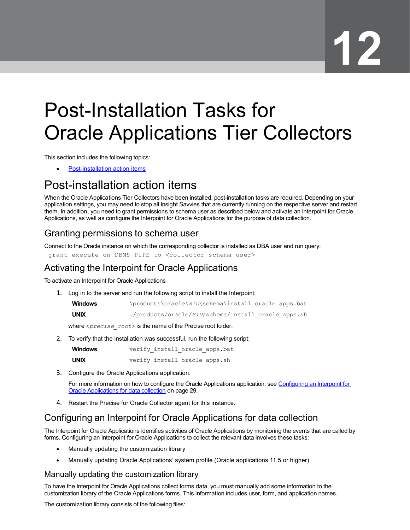# <span id="page-28-0"></span>Post-Installation Tasks for Oracle Applications Tier Collectors

This section includes the following topics:

[Post-installation action items](#page-28-1)

## <span id="page-28-1"></span>Post-installation action items

When the Oracle Applications Tier Collectors have been installed, post-installation tasks are required. Depending on your application settings, you may need to stop all Insight Savvies that are currently running on the respective server and restart them. In addition, you need to grant permissions to schema user as described below and activate an Interpoint for Oracle Applications, as well as configure the Interpoint for Oracle Applications for the purpose of data collection.

#### <span id="page-28-2"></span>Granting permissions to schema user

Connect to the Oracle instance on which the corresponding collector is installed as DBA user and run query: grant execute on DBMS PIPE to <collector schema user>

#### <span id="page-28-3"></span>Activating the Interpoint for Oracle Applications

To activate an Interpoint for Oracle Applications

1. Log in to the server and run the following script to install the Interpoint:

| <b>Windows</b> | \products\oracle\SID\schema\install oracle apps.bat |
|----------------|-----------------------------------------------------|
| <b>UNIX</b>    | ./products/oracle/SID/schema/install oracle apps.sh |

where <*precise\_root*> is the name of the Precise root folder.

2. To verify that the installation was successful, run the following script:

| <b>Windows</b> |  | verify install oracle apps.bat |
|----------------|--|--------------------------------|
| <b>UNIX</b>    |  | verify install oracle apps.sh  |

3. Configure the Oracle Applications application.

For more information on how to configure the Oracle Applications application, see [Configuring an Interpoint for](#page-28-4) [Oracle Applications for](#page-28-4) data collection on pag[e 29.](#page-28-4)

4. Restart the Precise for Oracle Collector agent for this instance.

#### <span id="page-28-4"></span>Configuring an Interpoint for Oracle Applications for data collection

The Interpoint for Oracle Applications identifies activities of Oracle Applications by monitoring the events that are called by forms. Configuring an Interpoint for Oracle Applications to collect the relevant data involves these tasks:

- Manually updating the customization library
- Manually updating Oracle Applications' system profile (Oracle applications 11.5 or higher)

#### Manually updating the customization library

To have the Interpoint for Oracle Applications collect forms data, you must manually add some information to the customization library of the Oracle Applications forms. This information includes user, form, and application names.

The customization library consists of the following files: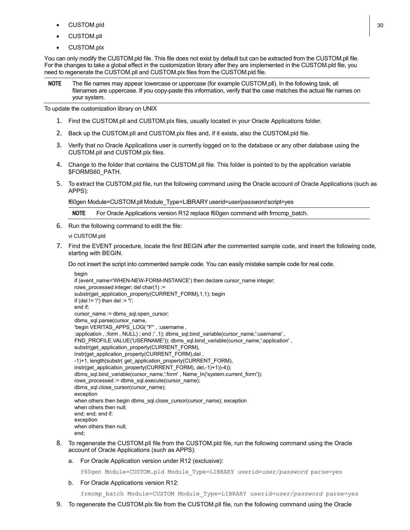- $CUSTOM.pld$  30
- CUSTOM.pll
- CUSTOM.plx

You can only modify the CUSTOM.pld file. This file does not exist by default but can be extracted from the CUSTOM.pll file. For the changes to take a global effect in the customization library after they are implemented in the CUSTOM.pld file, you need to regenerate the CUSTOM.pll and CUSTOM.plx files from the CUSTOM.pld file.

**NOTE** The file names may appear lowercase or uppercase (for example CUSTOM.pll). In the following task, all filenames are uppercase. If you copy-paste this information, verify that the case matches the actual file names on your system.

To update the customization library on UNIX

- 1. Find the CUSTOM.pll and CUSTOM.plx files, usually located in your Oracle Applications folder.
- 2. Back up the CUSTOM.pll and CUSTOM.plx files and, if it exists, also the CUSTOM.pld file.
- 3. Verify that no Oracle Applications user is currently logged on to the database or any other database using the CUSTOM.pll and CUSTOM.plx files.
- 4. Change to the folder that contains the CUSTOM.pll file. This folder is pointed to by the application variable \$FORMS60\_PATH.
- 5. To extract the CUSTOM.pld file, run the following command using the Oracle account of Oracle Applications (such as APPS):

f60gen Module=CUSTOM.pll Module\_Type=LIBRARYuserid=*user*/*password* script=yes

**NOTE** For Oracle Applications version R12 replace f60gen command with frmcmp\_batch.

6. Run the following command to edit the file:

vi CUSTOM.pld

7. Find the EVENT procedure, locate the first BEGIN after the commented sample code, and insert the following code, starting with BEGIN.

Do not insert the script into commented sample code. You can easily mistake sample code for real code.

begin

if (event\_name='WHEN-NEW-FORM-INSTANCE') then declare cursor\_name integer; rows\_processed integer; del char(1) := substr(get\_application\_property(CURRENT\_FORM),1,1); begin if (del !=  $\prime\prime$ ) then del :=  $\prime\prime$ ; end if; cursor\_name := dbms\_sql.open\_cursor; dbms\_sql.parse(cursor\_name, 'begin VERITAS\_APPS\_LOG(''F'' , :username , :application, :form, NULL); end ;',1); dbms\_sql.bind\_variable(cursor\_name,':username', FND\_PROFILE.VALUE('USERNAME')); dbms\_sql.bind\_variable(cursor\_name,':application' , substr(get\_application\_property(CURRENT\_FORM), instr(get\_application\_property(CURRENT\_FORM),del , -1)+1, length(substr( get\_application\_property(CURRENT\_FORM), instr(get\_application\_property(CURRENT\_FORM), del,-1)+1))-4)); dbms\_sql.bind\_variable(cursor\_name,':form' , Name\_In('system.current\_form')); rows\_processed := dbms\_sql.execute(cursor\_name); dbms\_sql.close\_cursor(cursor\_name); exception when others then begin dbms\_sql.close\_cursor(cursor\_name); exception when others then null; end; end; end if; exception when others then null; end;

- 8. To regenerate the CUSTOM.pll file from the CUSTOM.pld file, run the following command using the Oracle account of Oracle Applications (such as APPS):
	- a. For Oracle Application version under R12 (exclusive):

f60gen Module=CUSTOM.pld Module\_Type=LIBRARY userid=*user/password* parse=yes

b. For Oracle Applications version R12:

frmcmp\_batch Module=CUSTOM Module\_Type=LIBRARY userid=*user/password* parse=yes

9. To regenerate the CUSTOM.plx file from the CUSTOM.pll file, run the following command using the Oracle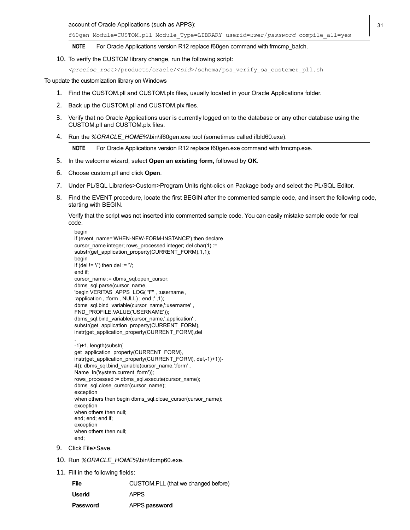account of Oracle Applications (such as APPS): 31

f60gen Module=CUSTOM.pll Module\_Type=LIBRARY userid=*user*/*password* compile\_all=yes

**NOTE** For Oracle Applications version R12 replace f60gen command with frmcmp\_batch.

10. To verify the CUSTOM library change, run the following script:

*<precise\_root>*/products/oracle/<*sid*>/schema/pss\_verify\_oa\_customer\_pll.sh

To update the customization library on Windows

- 1. Find the CUSTOM.pll and CUSTOM.plx files, usually located in your Oracle Applications folder.
- 2. Back up the CUSTOM.pll and CUSTOM.plx files.
- 3. Verify that no Oracle Applications user is currently logged on to the database or any other database using the CUSTOM.pll and CUSTOM.plx files.
- 4. Run the %ORACLE\_HOME%\bin\if60gen.exe tool (sometimes called ifbld60.exe).

**NOTE** For Oracle Applications version R12 replace f60gen.exe command with frmcmp.exe.

- 5. In the welcome wizard, select **Open an existing form,** followed by **OK**.
- 6. Choose custom.pll and click **Open**.
- 7. Under PL/SQL Libraries>Custom>Program Units right-click on Package body and select the PL/SQL Editor.
- 8. Find the EVENT procedure, locate the first BEGIN after the commented sample code, and insert the following code, starting with BEGIN.

Verify that the script was not inserted into commented sample code. You can easily mistake sample code for real code.

```
begin
if (event_name='WHEN-NEW-FORM-INSTANCE') then declare
cursor_name integer; rows_processed integer; del char(1) :=
substr(get_application_property(CURRENT_FORM),1,1);
begin
if (del != \prime\prime) then del := \prime\prime;
end if;
cursor_name := dbms_sql.open_cursor;
dbms_sql.parse(cursor_name,
'begin VERITAS APPS LOG("F", :username,
:application , :form , NULL) ; end ;' ,1); 
dbms_sql.bind_variable(cursor_name,':username',
FND_PROFILE.VALUE('USERNAME')); 
dbms_sql.bind_variable(cursor_name,':application' , 
substr(get_application_property(CURRENT_FORM),
instr(get_application_property(CURRENT_FORM),del
,
```

```
-1)+1, length(substr( 
get_application_property(CURRENT_FORM), 
instr(get_application_property(CURRENT_FORM), del,-1)+1))-
4)); dbms_sql.bind_variable(cursor_name,":form',
Name_In('system.current_form'));
rows_processed := dbms_sql.execute(cursor_name);
dbms_sql.close_cursor(cursor_name);
exception
when others then begin dbms_sql.close_cursor(cursor_name);
exception
when others then null;
end; end; end if;
exception
when others then null;
end;
```
- 9. Click File>Save.
- 10. Run *%ORACLE\_HOME%*\bin\ifcmp60.exe.
- 11. Fill in the following fields:

| File     | CUSTOM.PLL (that we changed before) |
|----------|-------------------------------------|
| Userid   | APPS                                |
| Password | APPS password                       |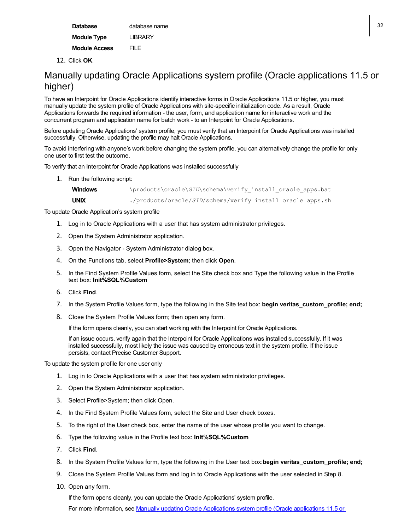| <b>Database</b>      | database name  | 32 |
|----------------------|----------------|----|
| <b>Module Type</b>   | <b>LIBRARY</b> |    |
| <b>Module Access</b> | <b>FILE</b>    |    |

12. Click **OK**.

#### <span id="page-31-0"></span>Manually updating Oracle Applications system profile (Oracle applications 11.5 or higher)

To have an Interpoint for Oracle Applications identify interactive forms in Oracle Applications 11.5 or higher, you must manually update the system profile of Oracle Applications with site-specific initialization code. As a result, Oracle Applications forwards the required information - the user, form, and application name for interactive work and the concurrent program and application name for batch work - to an Interpoint for Oracle Applications.

Before updating Oracle Applications' system profile, you must verify that an Interpoint for Oracle Applications was installed successfully. Otherwise, updating the profile may halt Oracle Applications.

To avoid interfering with anyone's work before changing the system profile, you can alternatively change the profile for only one user to first test the outcome.

To verify that an Interpoint for Oracle Applications was installed successfully

1. Run the following script:

```
Windows \products\oracle\SID\schema\verify_install_oracle_apps.bat
UNIX ./products/oracle/SID/schema/verify install oracle apps.sh
```
To update Oracle Application's system profile

- 1. Log in to Oracle Applications with a user that has system administrator privileges.
- 2. Open the System Administrator application.
- 3. Open the Navigator System Administrator dialog box.
- 4. On the Functions tab, select **Profile>System**; then click **Open**.
- 5. In the Find System Profile Values form, select the Site check box and Type the following value in the Profile text box: **Init%SQL%Custom**
- 6. Click **Find**.
- 7. In the System Profile Values form, type the following in the Site text box: **begin veritas\_custom\_profile; end;**
- 8. Close the System Profile Values form; then open any form.

If the form opens cleanly, you can start working with the Interpoint for Oracle Applications.

If an issue occurs, verify again that the Interpoint for Oracle Applications was installed successfully. If it was installed successfully, most likely the issue was caused by erroneous text in the system profile. If the issue persists, contact Precise Customer Support.

To update the system profile for one user only

- 1. Log in to Oracle Applications with a user that has system administrator privileges.
- 2. Open the System Administrator application.
- 3. Select Profile>System; then click Open.
- 4. In the Find System Profile Values form, select the Site and User check boxes.
- 5. To the right of the User check box, enter the name of the user whose profile you want to change.
- 6. Type the following value in the Profile text box: **Init%SQL%Custom**
- 7. Click **Find**.
- 8. In the System Profile Values form, type the following in the User text box:**begin veritas\_custom\_profile; end;**
- 9. Close the System Profile Values form and log in to Oracle Applications with the user selected in Step 8.
- 10. Open any form.

If the form opens cleanly, you can update the Oracle Applications' system profile. For more information, see Manually [updating Oracle Applications system profile \(Oracle applications](#page-31-0) 11.5 or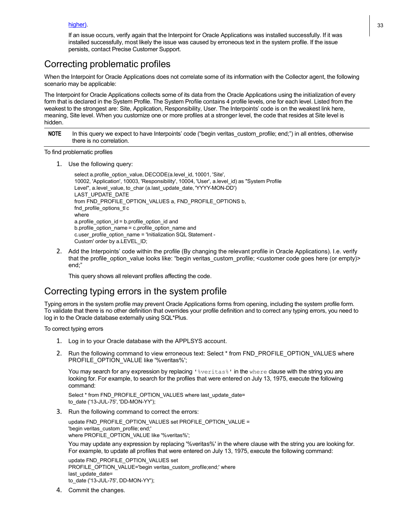If an issue occurs, verify again that the Interpoint for Oracle Applications was installed successfully. If it was installed successfully, most likely the issue was caused by erroneous text in the system profile. If the issue persists, contact Precise Customer Support.

#### <span id="page-32-0"></span>Correcting problematic profiles

When the Interpoint for Oracle Applications does not correlate some of its information with the Collector agent, the following scenario may be applicable:

The Interpoint for Oracle Applications collects some of its data from the Oracle Applications using the initialization of every form that is declared in the System Profile. The System Profile contains 4 profile levels, one for each level. Listed from the weakest to the strongest are: Site, Application, Responsibility, User. The Interpoints' code is on the weakest link here, meaning, Site level. When you customize one or more profiles at a stronger level, the code that resides at Site level is hidden.

**NOTE** In this query we expect to have Interpoints' code ("begin veritas custom profile; end;") in all entries, otherwise there is no correlation.

#### To find problematic profiles

1. Use the following query:

```
select a.profile_option_value, DECODE(a.level_id, 10001, 'Site',
10002, 'Application', 10003, 'Responsibility', 10004, 'User', a.level_id) as "System Profile
Level", a.level_value, to_char (a.last_update_date, 'YYYY-MON-DD')
LAST_UPDATE_DATE
from FND_PROFILE_OPTION_VALUES a, FND_PROFILE_OPTIONS b,
fnd_profile_options_tl c
where
a.profile_option_id = b.profile_option_id and
b.profile_option_name = c.profile_option_name and
c.user_profile_option_name = 'Initialization SQL Statement -
Custom' order by a.LEVEL_ID;
```
2. Add the Interpoints' code within the profile (By changing the relevant profile in Oracle Applications). I.e. verify that the profile\_option\_value looks like: "begin veritas\_custom\_profile; <customer code goes here (or empty)> end;"

This query shows all relevant profiles affecting the code.

#### <span id="page-32-1"></span>Correcting typing errors in the system profile

Typing errors in the system profile may prevent Oracle Applications forms from opening, including the system profile form. To validate that there is no other definition that overrides your profile definition and to correct any typing errors, you need to log in to the Oracle database externally using SQL\*Plus.

To correct typing errors

- 1. Log in to your Oracle database with the APPLSYS account.
- 2. Run the following command to view erroneous text: Select \* from FND\_PROFILE\_OPTION\_VALUES where PROFILE\_OPTION\_VALUE like '%veritas%';

You may search for any expression by replacing ' &veritas &' in the where clause with the string you are looking for. For example, to search for the profiles that were entered on July 13, 1975, execute the following command:

Select \* from FND\_PROFILE\_OPTION\_VALUES where last\_update\_date= to\_date ('13-JUL-75', 'DD-MON-YY');

3. Run the following command to correct the errors:

update FND\_PROFILE\_OPTION\_VALUES set PROFILE\_OPTION\_VALUE = 'begin veritas\_custom\_profile; end;' where PROFILE\_OPTION\_VALUE like '%veritas%';

You may update any expression by replacing '%veritas%' in the where clause with the string you are looking for. For example, to update all profiles that were entered on July 13, 1975, execute the following command:

update FND\_PROFILE\_OPTION\_VALUES set PROFILE\_OPTION\_VALUE='begin veritas\_custom\_profile;end;' where last update date= to\_date ('13-JUL-75', DD-MON-YY');

4. Commit the changes.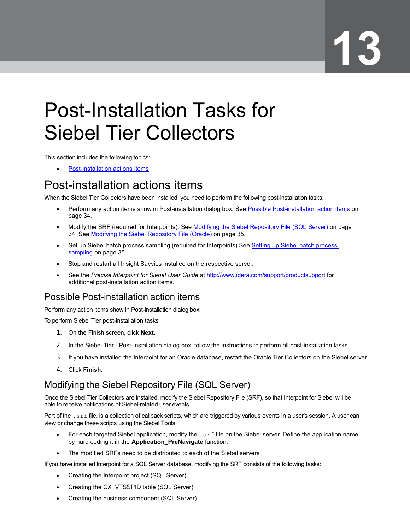# <span id="page-33-0"></span>Post-Installation Tasks for Siebel Tier Collectors

This section includes the following topics:

• [Post-installation actions](#page-33-1) items

## <span id="page-33-1"></span>Post-installation actions items

When the Siebel Tier Collectors have been installed, you need to perform the following post-installation tasks:

- Perform any action items show in Post-installation dialog box. See [Possible Post-installation](#page-33-2) action items on page [34.](#page-33-2)
- Modify the SRF (required for Interpoints). See Modifying the Siebel [Repository File \(SQL Server\)](#page-33-3) on page [34.](#page-33-3) See Modifying [the Siebel Repository File \(Oracle\)](#page-34-0) on page [35.](#page-34-0)
- Set up Siebel batch process sampling (required for Interpoints) See [Setting up Siebel batch process](#page-34-1)  [sampling](#page-34-1) on page [35.](#page-34-1)
- Stop and restart all Insight Savvies installed on the respective server.
- See the *Precise Interpoint for Siebel User Guide* at<http://www.idera.com/support/productsupport> for additional post-installation action items.

### <span id="page-33-2"></span>Possible Post-installation action items

Perform any action items show in Post-installation dialog box.

To perform Siebel Tier post-installation tasks

- 1. On the Finish screen, click **Next**.
- 2. In the Siebel Tier Post-Installation dialog box, follow the instructions to perform all post-installation tasks.
- 3. If you have installed the Interpoint for an Oracle database, restart the Oracle Tier Collectors on the Siebel server.
- 4. Click **Finish**.

### <span id="page-33-3"></span>Modifying the Siebel Repository File (SQL Server)

Once the Siebel Tier Collectors are installed, modify the Siebel Repository File (SRF), so that Interpoint for Siebel will be able to receive notifications of Siebel-related user events.

Part of the . srf file, is a collection of callback scripts, which are triggered by various events in a user's session. A user can view or change these scripts using the Siebel Tools.

- For each targeted Siebel application, modify the .srf file on the Siebel server. Define the application name by hard coding it in the **Application\_PreNavigate** function.
- The modified SRFs need to be distributed to each of the Siebel servers

If you have installed Interpoint for a SQL Server database, modifying the SRF consists of the following tasks:

- Creating the Interpoint project (SQL Server)
- Creating the CX\_VTSSPID table (SQL Server)
- Creating the business component (SQL Server)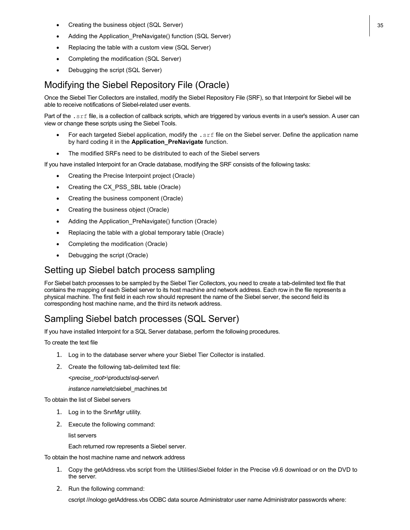- **Creating the business object (SQL Server)** 35
- Adding the Application\_PreNavigate() function (SQL Server)
- Replacing the table with a custom view (SQL Server)
- Completing the modification (SQL Server)
- Debugging the script (SQL Server)

#### <span id="page-34-0"></span>Modifying the Siebel Repository File (Oracle)

Once the Siebel Tier Collectors are installed, modify the Siebel Repository File (SRF), so that Interpoint for Siebel will be able to receive notifications of Siebel-related user events.

Part of the . srf file, is a collection of callback scripts, which are triggered by various events in a user's session. A user can view or change these scripts using the Siebel Tools.

- For each targeted Siebel application, modify the .srf file on the Siebel server. Define the application name by hard coding it in the **Application\_PreNavigate** function.
- The modified SRFs need to be distributed to each of the Siebel servers

If you have installed Interpoint for an Oracle database, modifying the SRF consists of the following tasks:

- Creating the Precise Interpoint project (Oracle)
- Creating the CX\_PSS\_SBL table (Oracle)
- Creating the business component (Oracle)
- Creating the business object (Oracle)
- Adding the Application\_PreNavigate() function (Oracle)
- Replacing the table with a global temporary table (Oracle)
- Completing the modification (Oracle)
- Debugging the script (Oracle)

#### <span id="page-34-1"></span>Setting up Siebel batch process sampling

For Siebel batch processes to be sampled by the Siebel Tier Collectors, you need to create a tab-delimited text file that contains the mapping of each Siebel server to its host machine and network address. Each row in the file represents a physical machine. The first field in each row should represent the name of the Siebel server, the second field its corresponding host machine name, and the third its network address.

#### <span id="page-34-2"></span>Sampling Siebel batch processes (SQL Server)

If you have installed Interpoint for a SQL Server database, perform the following procedures.

To create the text file

- 1. Log in to the database server where your Siebel Tier Collector is installed.
- 2. Create the following tab-delimited text file:

<*precise\_root*>\products\sql-server\

*instance name*\etc\siebel\_machines.txt

To obtain the list of Siebel servers

- 1. Log in to the SrvrMgr utility.
- 2. Execute the following command:

list servers

Each returned row represents a Siebel server.

To obtain the host machine name and network address

- 1. Copy the getAddress.vbs script from the Utilities\Siebel folder in the Precise v9.6 download or on the DVD to the server.
- 2. Run the following command:

cscript //nologo getAddress.vbs ODBC data source Administrator user name Administrator passwords where: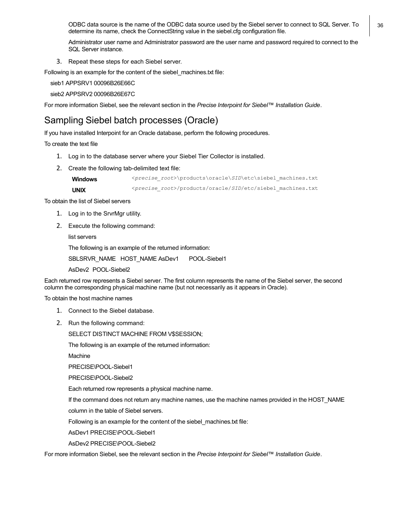ODBC data source is the name of the ODBC data source used by the Siebel server to connect to SQL Server. To  $\vert$  36 determine its name, check the ConnectString value in the siebel.cfg configuration file.

Administrator user name and Administrator password are the user name and password required to connect to the SQL Server instance.

3. Repeat these steps for each Siebel server.

Following is an example for the content of the siebel machines.txt file:

sieb1 APPSRV1 00096B26E66C

sieb2 APPSRV2 00096B26E67C

For more information Siebel, see the relevant section in the *Precise Interpoint for Siebel™ Installation Guide*.

#### <span id="page-35-0"></span>Sampling Siebel batch processes (Oracle)

If you have installed Interpoint for an Oracle database, perform the following procedures.

To create the text file

- 1. Log in to the database server where your Siebel Tier Collector is installed.
- 2. Create the following tab-delimited text file:

**Windows** <*precise\_root*>\products\oracle\*SID*\etc\siebel\_machines.txt **UNIX** <sup>&</sup>lt;*precise\_root*>/products/oracle/*SID*/etc/siebel\_machines.txt

To obtain the list of Siebel servers

- 1. Log in to the SrvrMgr utility.
- 2. Execute the following command:

list servers

The following is an example of the returned information:

SBLSRVR\_NAME HOST\_NAME AsDev1 POOL-Siebel1

AsDev2 POOL-Siebel2

Each returned row represents a Siebel server. The first column represents the name of the Siebel server, the second column the corresponding physical machine name (but not necessarily as it appears in Oracle).

To obtain the host machine names

- 1. Connect to the Siebel database.
- 2. Run the following command:

SELECT DISTINCT MACHINE FROM V\$SESSION;

The following is an example of the returned information:

Machine

PRECISE\POOL-Siebel1

PRECISE\POOL-Siebel2

Each returned row represents a physical machine name.

If the command does not return any machine names, use the machine names provided in the HOST\_NAME

column in the table of Siebel servers.

Following is an example for the content of the siebel\_machines.txt file:

AsDev1 PRECISE\POOL-Siebel1

AsDev2 PRECISE\POOL-Siebel2

For more information Siebel, see the relevant section in the *Precise Interpoint for Siebel™ Installation Guide*.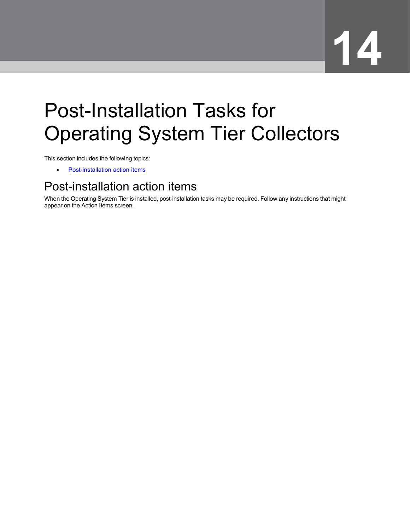# <span id="page-36-0"></span>Post-Installation Tasks for Operating System Tier Collectors

This section includes the following topics:

• [Post-installation action items](#page-36-1)

## <span id="page-36-1"></span>Post-installation action items

When the Operating System Tier is installed, post-installation tasks may be required. Follow any instructions that might appear on the Action Items screen.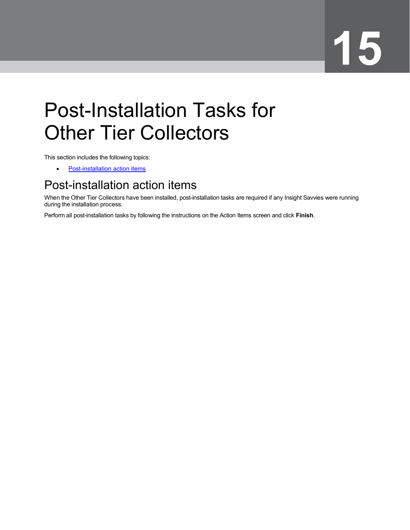# <span id="page-37-0"></span>Post-Installation Tasks for Other Tier Collectors

This section includes the following topics:

• [Post-installation action items](#page-37-1)

### <span id="page-37-1"></span>Post-installation action items

When the Other Tier Collectors have been installed, post-installation tasks are required if any Insight Savvies were running during the installation process.

Perform all post-installation tasks by following the instructions on the Action Items screen and click **Finish**.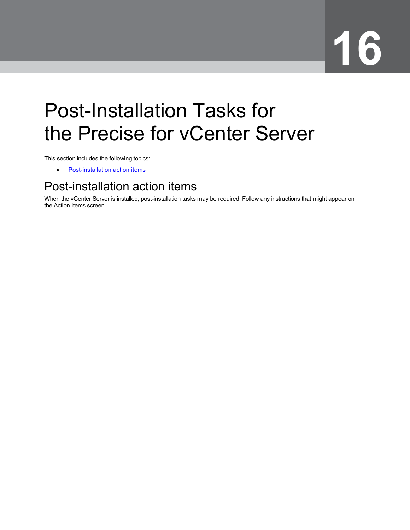# <span id="page-38-0"></span>Post-Installation Tasks for the Precise for vCenter Server

This section includes the following topics:

• [Post-installation action items](#page-38-1)

## <span id="page-38-1"></span>Post-installation action items

When the vCenter Server is installed, post-installation tasks may be required. Follow any instructions that might appear on the Action Items screen.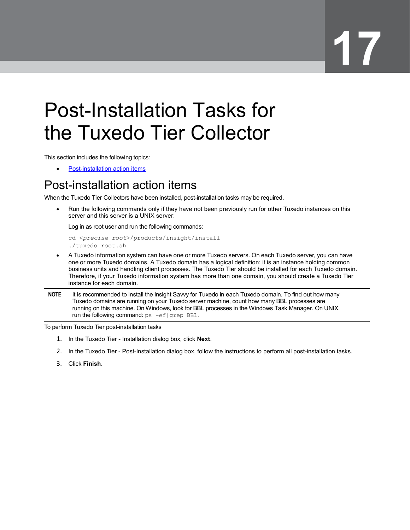## <span id="page-39-0"></span>Post-Installation Tasks for the Tuxedo Tier Collector

This section includes the following topics:

• [Post-installation action items](#page-39-1)

## <span id="page-39-1"></span>Post-installation action items

When the Tuxedo Tier Collectors have been installed, post-installation tasks may be required.

• Run the following commands only if they have not been previously run for other Tuxedo instances on this server and this server is a UNIX server:

Log in as root user and run the following commands:

```
cd <precise_root>/products/insight/install
./tuxedo_root.sh
```
- A Tuxedo information system can have one or more Tuxedo servers. On each Tuxedo server, you can have one or more Tuxedo domains. A Tuxedo domain has a logical definition: it is an instance holding common business units and handling client processes. The Tuxedo Tier should be installed for each Tuxedo domain. Therefore, if your Tuxedo information system has more than one domain, you should create a Tuxedo Tier instance for each domain.
- **NOTE** It is recommended to install the Insight Savvy for Tuxedo in each Tuxedo domain. To find out how many Tuxedo domains are running on your Tuxedo server machine, count how many BBL processes are running on this machine. On Windows, look for BBL processes in the Windows Task Manager. On UNIX, run the following command: ps -ef|grep BBL.

To perform Tuxedo Tier post-installation tasks

- 1. In the Tuxedo Tier Installation dialog box, click **Next**.
- 2. In the Tuxedo Tier Post-Installation dialog box, follow the instructions to perform all post-installation tasks.
- 3. Click **Finish**.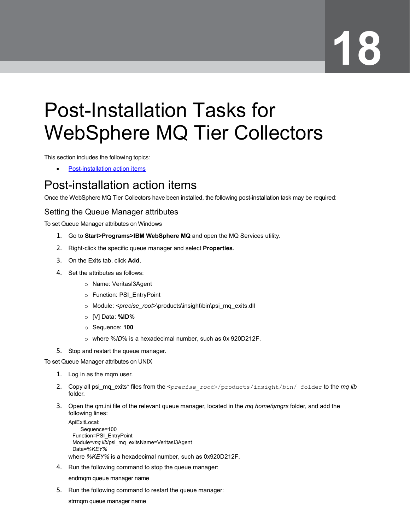# <span id="page-40-0"></span>Post-Installation Tasks for WebSphere MQ Tier Collectors

This section includes the following topics:

• [Post-installation action items](#page-40-1)

### <span id="page-40-1"></span>Post-installation action items

Once the WebSphere MQ Tier Collectors have been installed, the following post-installation task may be required:

#### Setting the Queue Manager attributes

To set Queue Manager attributes on Windows

- 1. Go to **Start>Programs>IBM WebSphere MQ** and open the MQ Services utility.
- 2. Right-click the specific queue manager and select **Properties**.
- 3. On the Exits tab, click **Add**.
- 4. Set the attributes as follows:
	- o Name: VeritasI3Agent
	- o Function: PSI\_EntryPoint
	- o Module: *<precise\_root>*\products\insight\bin\psi\_mq\_exits.dll
	- o [V] Data: **%ID%**
	- o Sequence: **100**
	- o where %*ID*% is a hexadecimal number, such as 0x 920D212F.
- 5. Stop and restart the queue manager.

To set Queue Manager attributes on UNIX

- 1. Log in as the mqm user.
- 2. Copy all psi mq exits\* files from the <*precise\_root>/products/insight/bin/* folder to the *mq lib* folder.
- 3. Open the qm.ini file of the relevant queue manager, located in the *mq home/qmgrs* folder, and add the following lines:

```
ApiExitLocal: 
    Sequence=100
 Function=PSI_EntryPoint
 Module=mq lib/psi_mq_exitsName=VeritasI3Agent
 Data=%KEY%
where %KEY% is a hexadecimal number, such as 0x920D212F.
```
4. Run the following command to stop the queue manager:

endmqm queue manager name

5. Run the following command to restart the queue manager:

strmqm queue manager name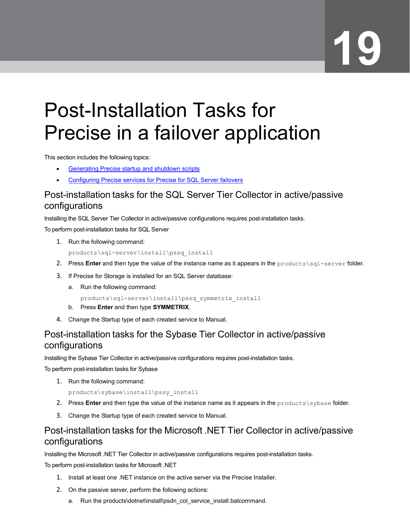## <span id="page-41-0"></span>Post-Installation Tasks for Precise in a failover application

This section includes the following topics:

- **Generating Precise startup and shutdown scripts**
- Configuring Precise services for Precise for SQL Server failovers

#### <span id="page-41-1"></span>Post-installation tasks for the SQL Server Tier Collector in active/passive configurations

Installing the SQL Server Tier Collector in active/passive configurations requires post-installation tasks.

To perform post-installation tasks for SQL Server

1. Run the following command:

products\sql-server\install\pssq\_install

- 2. Press **Enter** and then type the value of the instance name as it appears in the products\sql-server folder.
- 3. If Precise for Storage is installed for an SQL Server database:
	- a. Run the following command:

products\sql-server\install\pssq\_symmetrix\_install

- b. Press **Enter** and then type **SYMMETRIX**.
- 4. Change the Startup type of each created service to Manual.

#### <span id="page-41-2"></span>Post-installation tasks for the Sybase Tier Collector in active/passive configurations

Installing the Sybase Tier Collector in active/passive configurations requires post-installation tasks.

To perform post-installation tasks for Sybase

1. Run the following command:

products\sybase\install\pssy\_install

- 2. Press **Enter** and then type the value of the instance name as it appears in the products\sybase folder.
- 3. Change the Startup type of each created service to Manual.

#### <span id="page-41-3"></span>Post-installation tasks for the Microsoft .NET Tier Collector in active/passive configurations

Installing the Microsoft .NET Tier Collector in active/passive configurations requires post-installation tasks.

To perform post-installation tasks for Microsoft .NET

- 1. Install at least one .NET instance on the active server via the Precise Installer.
- 2. On the passive server, perform the following actions:
	- a. Run the products\dotnet\install\psdn\_col\_service\_install.batcommand.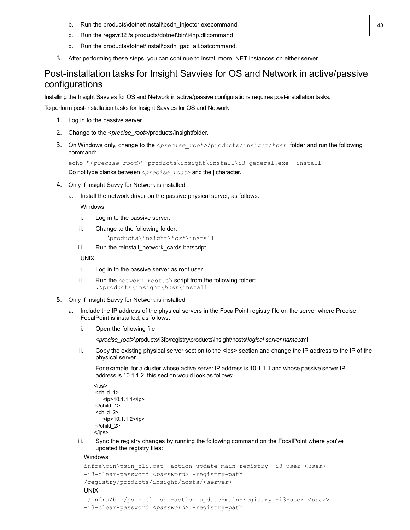- b. Run the products\dotnet\install\psdn\_injector.execommand. 43
- c. Run the regsvr32 /s products\dotnet\bin\i4np.dllcommand.
- d. Run the products\dotnet\install\psdn\_gac\_all.batcommand.
- 3. After performing these steps, you can continue to install more .NET instances on either server.

#### <span id="page-42-0"></span>Post-installation tasks for Insight Savvies for OS and Network in active/passive configurations

Installing the Insight Savvies for OS and Network in active/passive configurations requires post-installation tasks.

To perform post-installation tasks for Insight Savvies for OS and Network

- 1. Log in to the passive server.
- 2. Change to the <*precise\_root>*/products/insightfolder.
- 3. On Windows only, change to the <*precise\_root>*/products/insight/*host* folder and run the following command:

echo "<*precise\_root*>"|products\insight\install\i3\_general.exe -install Do not type blanks between <*precise\_root*> and the | character.

- 4. Only if Insight Savvy for Network is installed:
	- a. Install the network driver on the passive physical server, as follows:

**Windows** 

- i. Log in to the passive server.
- ii. Change to the following folder:

```
\products\insight\host\install
```
iii. Run the reinstall network cards.batscript.

UNIX

- i. Log in to the passive server as root user.
- ii. Run the network root.sh script from the following folder: .\products\insight\*host*\install
- 5. Only if Insight Savvy for Network is installed:
	- a. Include the IP address of the physical servers in the FocalPoint registry file on the server where Precise FocalPoint is installed, as follows:
		- i. Open the following file:

<*precise\_root>*\products\i3fp\registry\products\insight\hosts\*logical server name*.xml

ii. Copy the existing physical server section to the <ips> section and change the IP address to the IP of the physical server.

For example, for a cluster whose active server IP address is 10.1.1.1 and whose passive server IP address is 10.1.1.2, this section would look as follows:

```
<ips>
<child_1>
   <ip>10.1.1.1</ip>
</child_1>
<child_2>
   <ip>10.1.1.2</ip>
</child_2>
</ips>
```
iii. Sync the registry changes by running the following command on the FocalPoint where you've updated the registry files:

Windows

```
infra\bin\psin_cli.bat -action update-main-registry -i3-user <user>
-i3-clear-password <password> -registry-path
/registry/products/insight/hosts/<server>
UNIX
./infra/bin/psin_cli.sh -action update-main-registry -i3-user <user>
```

```
-i3-clear-password <password> -registry-path
```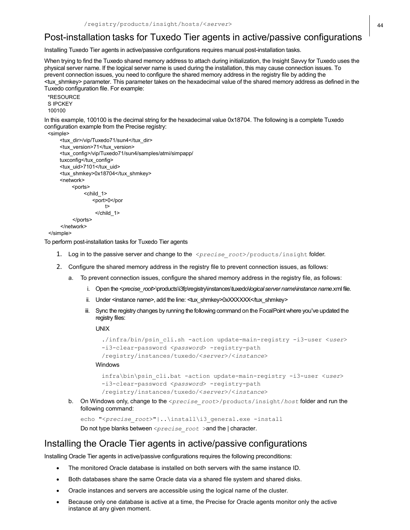#### <span id="page-43-0"></span>Post-installation tasks for Tuxedo Tier agents in active/passive configurations

Installing Tuxedo Tier agents in active/passive configurations requires manual post-installation tasks.

When trying to find the Tuxedo shared memory address to attach during initialization, the Insight Savvy for Tuxedo uses the physical server name. If the logical server name is used during the installation, this may cause connection issues. To prevent connection issues, you need to configure the shared memory address in the registry file by adding the <tux\_shmkey> parameter. This parameter takes on the hexadecimal value of the shared memory address as defined in the Tuxedo configuration file. For example:

\*RESOURCE S IPCKEY 100100

In this example, 100100 is the decimal string for the hexadecimal value 0x18704. The following is a complete Tuxedo configuration example from the Precise registry:

```
<simple>
```

```
<tux_dir>/vip/Tuxedo71/sun4</tux_dir>
    <tux_version>71</tux_version>
    <tux_config>/vip/Tuxedo71/sun4/samples/atmi/simpapp/
    tuxconfig</tux_config>
    <tux_uid>7101</tux_uid>
    <tux_shmkey>0x18704</tux_shmkey>
    <network>
         <ports>
              <child_1>
                 <port>0</por
                      t>
                  </child_1>
         </ports>
    </network>
</simple>
```
To perform post-installation tasks for Tuxedo Tier agents

- 1. Log in to the passive server and change to the <*precise\_root*>/products/insight folder.
- 2. Configure the shared memory address in the registry file to prevent connection issues, as follows:
	- a. To prevent connection issues, configure the shared memory address in the registry file, as follows:
		- i. Open the <*precise\_root*>\products\i3fp\registry\instances\tuxedo\*logicalserver name*\*instance name*.xml file.
		- ii. Under <instance name>, add the line: <tux\_shmkey>0xXXXXXXX/tux\_shmkey>
		- iii. Sync the registry changes by running the following command on the FocalPoint where you've updated the registry files:

UNIX

```
./infra/bin/psin_cli.sh -action update-main-registry -i3-user <user>
-i3-clear-password <password> -registry-path
/registry/instances/tuxedo/<server>/<instance>
```
Windows

```
infra\bin\psin_cli.bat -action update-main-registry -i3-user <user>
-i3-clear-password <password> -registry-path
/registry/instances/tuxedo/<server>/<instance>
```
b. On Windows only, change to the <*precise\_root*>/products/insight/*host* folder and run the following command:

echo "<*precise\_root*>"|..\install\i3\_general.exe -install Do not type blanks between <*precise\_root* >and the | character.

#### <span id="page-43-1"></span>Installing the Oracle Tier agents in active/passive configurations

Installing Oracle Tier agents in active/passive configurations requires the following preconditions:

- The monitored Oracle database is installed on both servers with the same instance ID.
- Both databases share the same Oracle data via a shared file system and shared disks.
- Oracle instances and servers are accessible using the logical name of the cluster.
- Because only one database is active at a time, the Precise for Oracle agents monitor only the active instance at any given moment.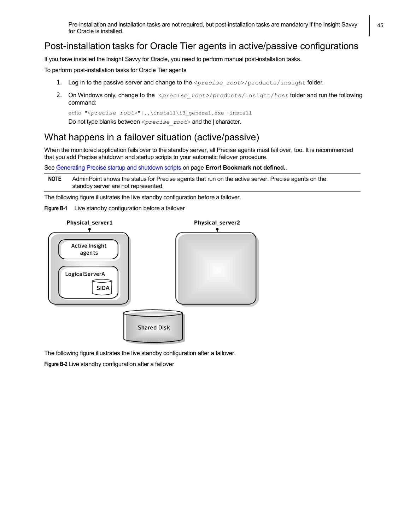Pre-installation and installation tasks are not required, but post-installation tasks are mandatory if the Insight Savvy | 45 for Oracle is installed.

#### <span id="page-44-0"></span>Post-installation tasks for Oracle Tier agents in active/passive configurations

If you have installed the Insight Savvy for Oracle, you need to perform manual post-installation tasks.

To perform post-installation tasks for Oracle Tier agents

- 1. Log in to the passive server and change to the <precise\_root>/products/insight folder.
- 2. On Windows only, change to the <*precise\_root>*/products/insight/*host* folder and run the following command:

echo "<*precise\_root*>"|..\install\i3\_general.exe -install

Do not type blanks between <*precise\_root*> and the | character.

#### <span id="page-44-1"></span>What happens in a failover situation (active/passive)

When the monitored application fails over to the standby server, all Precise agents must fail over, too. It is recommended that you add Precise shutdown and startup scripts to your automatic failover procedure.

See Generating Precise startup and shutdown scripts on page **Error! Bookmark not defined.**.

**NOTE** AdminPoint shows the status for Precise agents that run on the active server. Precise agents on the standby server are not represented.

The following figure illustrates the live standby configuration before a failover.

**Figure B-1** Live standby configuration before a failover



The following figure illustrates the live standby configuration after a failover.

**Figure B-2** Live standby configuration after a failover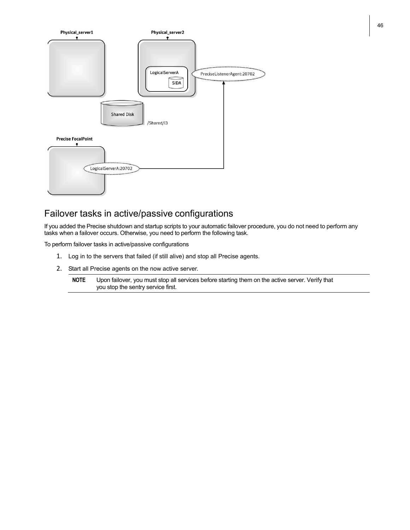

#### <span id="page-45-0"></span>Failover tasks in active/passive configurations

If you added the Precise shutdown and startup scripts to your automatic failover procedure, you do not need to perform any tasks when a failover occurs. Otherwise, you need to perform the following task.

To perform failover tasks in active/passive configurations

- 1. Log in to the servers that failed (if still alive) and stop all Precise agents.
- 2. Start all Precise agents on the now active server.

**NOTE** Upon failover, you must stop all services before starting them on the active server. Verify that you stop the sentry service first.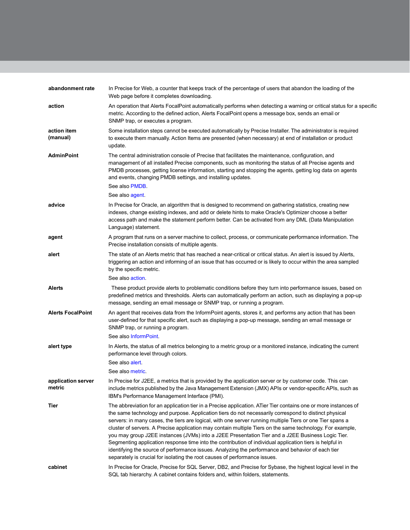| abandonment rate             | In Precise for Web, a counter that keeps track of the percentage of users that abandon the loading of the<br>Web page before it completes downloading.                                                                                                                                                                                                                                                                                                                                                                                                                                                                                                                                                                                                                                                                                                 |
|------------------------------|--------------------------------------------------------------------------------------------------------------------------------------------------------------------------------------------------------------------------------------------------------------------------------------------------------------------------------------------------------------------------------------------------------------------------------------------------------------------------------------------------------------------------------------------------------------------------------------------------------------------------------------------------------------------------------------------------------------------------------------------------------------------------------------------------------------------------------------------------------|
| action                       | An operation that Alerts FocalPoint automatically performs when detecting a warning or critical status for a specific<br>metric. According to the defined action, Alerts FocalPoint opens a message box, sends an email or<br>SNMP trap, or executes a program.                                                                                                                                                                                                                                                                                                                                                                                                                                                                                                                                                                                        |
| action item<br>(manual)      | Some installation steps cannot be executed automatically by Precise Installer. The administrator is required<br>to execute them manually. Action Items are presented (when necessary) at end of installation or product<br>update.                                                                                                                                                                                                                                                                                                                                                                                                                                                                                                                                                                                                                     |
| <b>AdminPoint</b>            | The central administration console of Precise that facilitates the maintenance, configuration, and<br>management of all installed Precise components, such as monitoring the status of all Precise agents and<br>PMDB processes, getting license information, starting and stopping the agents, getting log data on agents<br>and events, changing PMDB settings, and installing updates.<br>See also PMDB.                                                                                                                                                                                                                                                                                                                                                                                                                                            |
|                              | See also agent                                                                                                                                                                                                                                                                                                                                                                                                                                                                                                                                                                                                                                                                                                                                                                                                                                         |
| advice                       | In Precise for Oracle, an algorithm that is designed to recommend on gathering statistics, creating new<br>indexes, change existing indexes, and add or delete hints to make Oracle's Optimizer choose a better<br>access path and make the statement perform better. Can be activated from any DML (Data Manipulation<br>Language) statement.                                                                                                                                                                                                                                                                                                                                                                                                                                                                                                         |
| agent                        | A program that runs on a server machine to collect, process, or communicate performance information. The<br>Precise installation consists of multiple agents.                                                                                                                                                                                                                                                                                                                                                                                                                                                                                                                                                                                                                                                                                          |
| alert                        | The state of an Alerts metric that has reached a near-critical or critical status. An alert is issued by Alerts,<br>triggering an action and informing of an issue that has occurred or is likely to occur within the area sampled<br>by the specific metric.                                                                                                                                                                                                                                                                                                                                                                                                                                                                                                                                                                                          |
|                              | See also action.                                                                                                                                                                                                                                                                                                                                                                                                                                                                                                                                                                                                                                                                                                                                                                                                                                       |
| <b>Alerts</b>                | These product provide alerts to problematic conditions before they turn into performance issues, based on<br>predefined metrics and thresholds. Alerts can automatically perform an action, such as displaying a pop-up<br>message, sending an email message or SNMP trap, or running a program.                                                                                                                                                                                                                                                                                                                                                                                                                                                                                                                                                       |
| <b>Alerts FocalPoint</b>     | An agent that receives data from the InformPoint agents, stores it, and performs any action that has been<br>user-defined for that specific alert, such as displaying a pop-up message, sending an email message or<br>SNMP trap, or running a program.                                                                                                                                                                                                                                                                                                                                                                                                                                                                                                                                                                                                |
|                              | See also InformPoint.                                                                                                                                                                                                                                                                                                                                                                                                                                                                                                                                                                                                                                                                                                                                                                                                                                  |
| alert type                   | In Alerts, the status of all metrics belonging to a metric group or a monitored instance, indicating the current<br>performance level through colors.                                                                                                                                                                                                                                                                                                                                                                                                                                                                                                                                                                                                                                                                                                  |
|                              | See also alert.                                                                                                                                                                                                                                                                                                                                                                                                                                                                                                                                                                                                                                                                                                                                                                                                                                        |
|                              | See also metric.                                                                                                                                                                                                                                                                                                                                                                                                                                                                                                                                                                                                                                                                                                                                                                                                                                       |
| application server<br>metric | In Precise for J2EE, a metrics that is provided by the application server or by customer code. This can<br>include metrics published by the Java Management Extension (JMX) APIs or vendor-specific APIs, such as<br>IBM's Performance Management Interface (PMI).                                                                                                                                                                                                                                                                                                                                                                                                                                                                                                                                                                                     |
| Tier                         | The abbreviation for an application tier in a Precise application. ATier Tier contains one or more instances of<br>the same technology and purpose. Application tiers do not necessarily correspond to distinct physical<br>servers: in many cases, the tiers are logical, with one server running multiple Tiers or one Tier spans a<br>cluster of servers. A Precise application may contain multiple Tiers on the same technology. For example,<br>you may group J2EE instances (JVMs) into a J2EE Presentation Tier and a J2EE Business Logic Tier.<br>Segmenting application response time into the contribution of individual application tiers is helpful in<br>identifying the source of performance issues. Analyzing the performance and behavior of each tier<br>separately is crucial for isolating the root causes of performance issues. |
| cabinet                      | In Precise for Oracle, Precise for SQL Server, DB2, and Precise for Sybase, the highest logical level in the<br>SQL tab hierarchy. A cabinet contains folders and, within folders, statements.                                                                                                                                                                                                                                                                                                                                                                                                                                                                                                                                                                                                                                                         |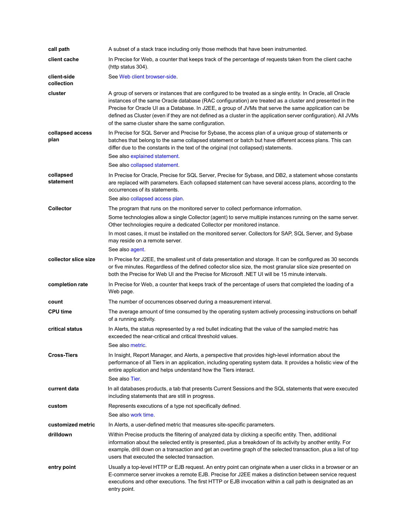| call path                 | A subset of a stack trace including only those methods that have been instrumented.                                                                                                                                                                                                                                                                                                                                                                                                                     |
|---------------------------|---------------------------------------------------------------------------------------------------------------------------------------------------------------------------------------------------------------------------------------------------------------------------------------------------------------------------------------------------------------------------------------------------------------------------------------------------------------------------------------------------------|
| client cache              | In Precise for Web, a counter that keeps track of the percentage of requests taken from the client cache<br>(http status 304).                                                                                                                                                                                                                                                                                                                                                                          |
| client-side<br>collection | See Web client browser-side.                                                                                                                                                                                                                                                                                                                                                                                                                                                                            |
| cluster                   | A group of servers or instances that are configured to be treated as a single entity. In Oracle, all Oracle<br>instances of the same Oracle database (RAC configuration) are treated as a cluster and presented in the<br>Precise for Oracle UI as a Database. In J2EE, a group of JVMs that serve the same application can be<br>defined as Cluster (even if they are not defined as a cluster in the application server configuration). All JVMs<br>of the same cluster share the same configuration. |
| collapsed access<br>plan  | In Precise for SQL Server and Precise for Sybase, the access plan of a unique group of statements or<br>batches that belong to the same collapsed statement or batch but have different access plans. This can<br>differ due to the constants in the text of the original (not collapsed) statements.                                                                                                                                                                                                   |
|                           | See also explained statement.                                                                                                                                                                                                                                                                                                                                                                                                                                                                           |
|                           | See also collapsed statement.                                                                                                                                                                                                                                                                                                                                                                                                                                                                           |
| collapsed<br>statement    | In Precise for Oracle, Precise for SQL Server, Precise for Sybase, and DB2, a statement whose constants<br>are replaced with parameters. Each collapsed statement can have several access plans, according to the<br>occurrences of its statements.                                                                                                                                                                                                                                                     |
|                           | See also collapsed access plan.                                                                                                                                                                                                                                                                                                                                                                                                                                                                         |
| <b>Collector</b>          | The program that runs on the monitored server to collect performance information.<br>Some technologies allow a single Collector (agent) to serve multiple instances running on the same server.<br>Other technologies require a dedicated Collector per monitored instance.                                                                                                                                                                                                                             |
|                           | In most cases, it must be installed on the monitored server. Collectors for SAP, SQL Server, and Sybase<br>may reside on a remote server.                                                                                                                                                                                                                                                                                                                                                               |
|                           | See also agent.                                                                                                                                                                                                                                                                                                                                                                                                                                                                                         |
| collector slice size      | In Precise for J2EE, the smallest unit of data presentation and storage. It can be configured as 30 seconds<br>or five minutes. Regardless of the defined collector slice size, the most granular slice size presented on<br>both the Precise for Web UI and the Precise for Microsoft .NET UI will be 15 minute intervals.                                                                                                                                                                             |
| completion rate           | In Precise for Web, a counter that keeps track of the percentage of users that completed the loading of a<br>Web page.                                                                                                                                                                                                                                                                                                                                                                                  |
| count                     | The number of occurrences observed during a measurement interval.                                                                                                                                                                                                                                                                                                                                                                                                                                       |
| <b>CPU time</b>           | The average amount of time consumed by the operating system actively processing instructions on behalf<br>of a running activity.                                                                                                                                                                                                                                                                                                                                                                        |
| critical status           | In Alerts, the status represented by a red bullet indicating that the value of the sampled metric has<br>exceeded the near-critical and critical threshold values.                                                                                                                                                                                                                                                                                                                                      |
|                           | See also metric.                                                                                                                                                                                                                                                                                                                                                                                                                                                                                        |
| <b>Cross-Tiers</b>        | In Insight, Report Manager, and Alerts, a perspective that provides high-level information about the<br>performance of all Tiers in an application, including operating system data. It provides a holistic view of the<br>entire application and helps understand how the Tiers interact.<br>See also Tier                                                                                                                                                                                             |
|                           |                                                                                                                                                                                                                                                                                                                                                                                                                                                                                                         |
| current data              | In all databases products, a tab that presents Current Sessions and the SQL statements that were executed<br>including statements that are still in progress.                                                                                                                                                                                                                                                                                                                                           |
| custom                    | Represents executions of a type not specifically defined.<br>See also work time.                                                                                                                                                                                                                                                                                                                                                                                                                        |
| customized metric         | In Alerts, a user-defined metric that measures site-specific parameters.                                                                                                                                                                                                                                                                                                                                                                                                                                |
| drilldown                 | Within Precise products the filtering of analyzed data by clicking a specific entity. Then, additional<br>information about the selected entity is presented, plus a breakdown of its activity by another entity. For<br>example, drill down on a transaction and get an overtime graph of the selected transaction, plus a list of top<br>users that executed the selected transaction.                                                                                                                |
| entry point               | Usually a top-level HTTP or EJB request. An entry point can originate when a user clicks in a browser or an<br>E-commerce server invokes a remote EJB. Precise for J2EE makes a distinction between service request<br>executions and other executions. The first HTTP or EJB invocation within a call path is designated as an<br>entry point.                                                                                                                                                         |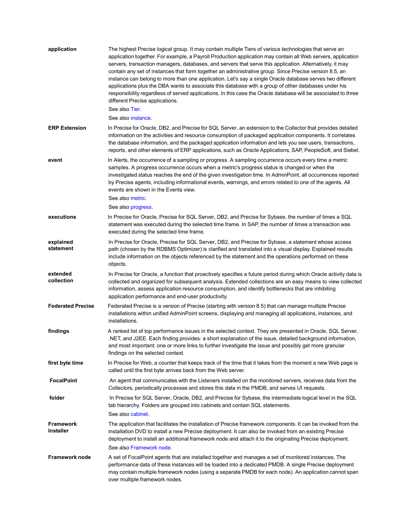| application                          | The highest Precise logical group. It may contain multiple Tiers of various technologies that serve an<br>application together. For example, a Payroll Production application may contain all Web servers, application<br>servers, transaction managers, databases, and servers that serve this application. Alternatively, it may<br>contain any set of instances that form together an administrative group. Since Precise version 8.5, an<br>instance can belong to more than one application. Let's say a single Oracle database serves two different<br>applications plus the DBA wants to associate this database with a group of other databases under his<br>responsibility regardless of served applications. In this case the Oracle database will be associated to three<br>different Precise applications.<br>See also Tier.<br>See also instance. |
|--------------------------------------|----------------------------------------------------------------------------------------------------------------------------------------------------------------------------------------------------------------------------------------------------------------------------------------------------------------------------------------------------------------------------------------------------------------------------------------------------------------------------------------------------------------------------------------------------------------------------------------------------------------------------------------------------------------------------------------------------------------------------------------------------------------------------------------------------------------------------------------------------------------|
| <b>ERP Extension</b>                 | In Precise for Oracle, DB2, and Precise for SQL Server, an extension to the Collector that provides detailed<br>information on the activities and resource consumption of packaged application components. It correlates<br>the database information, and the packaged application information and lets you see users, transactions,<br>reports, and other elements of ERP applications, such as Oracle Applications, SAP, PeopleSoft, and Siebel.                                                                                                                                                                                                                                                                                                                                                                                                             |
| event                                | In Alerts, the occurrence of a sampling or progress. A sampling occurrence occurs every time a metric<br>samples. A progress occurrence occurs when a metric's progress status is changed or when the<br>investigated status reaches the end of the given investigation time. In AdminPoint, all occurrences reported<br>by Precise agents, including informational events, warnings, and errors related to one of the agents. All<br>events are shown in the Events view.<br>See also metric.<br>See also progress.                                                                                                                                                                                                                                                                                                                                           |
| executions                           | In Precise for Oracle, Precise for SQL Server, DB2, and Precise for Sybase, the number of times a SQL<br>statement was executed during the selected time frame. In SAP, the number of times a transaction was<br>executed during the selected time frame.                                                                                                                                                                                                                                                                                                                                                                                                                                                                                                                                                                                                      |
| explained<br>statement               | In Precise for Oracle, Precise for SQL Server, DB2, and Precise for Sybase, a statement whose access<br>path (chosen by the RDBMS Optimizer) is clarified and translated into a visual display. Explained results<br>include information on the objects referenced by the statement and the operations performed on these<br>objects.                                                                                                                                                                                                                                                                                                                                                                                                                                                                                                                          |
| extended<br>collection               | In Precise for Oracle, a function that proactively specifies a future period during which Oracle activity data is<br>collected and organized for subsequent analysis. Extended collections are an easy means to view collected<br>information, assess application resource consumption, and identify bottlenecks that are inhibiting<br>application performance and end-user productivity.                                                                                                                                                                                                                                                                                                                                                                                                                                                                     |
| <b>Federated Precise</b>             | Federated Precise is a version of Precise (starting with version 8.5) that can manage multiple Precise<br>installations within unified AdminPoint screens, displaying and managing all applications, instances, and<br>installations.                                                                                                                                                                                                                                                                                                                                                                                                                                                                                                                                                                                                                          |
| findings                             | A ranked list of top performance issues in the selected context. They are presented in Oracle, SQL Server,<br>.NET, and J2EE. Each finding provides: a short explanation of the issue, detailed background information,<br>and most important: one or more links to further investigate the issue and possibly get more granular<br>findings on the selected context.                                                                                                                                                                                                                                                                                                                                                                                                                                                                                          |
| first byte time                      | In Precise for Web, a counter that keeps track of the time that it takes from the moment a new Web page is<br>called until the first byte arrives back from the Web server.                                                                                                                                                                                                                                                                                                                                                                                                                                                                                                                                                                                                                                                                                    |
| <b>FocalPoint</b>                    | An agent that communicates with the Listeners installed on the monitored servers, receives data from the<br>Collectors, periodically processes and stores this data in the PMDB, and serves UI requests.                                                                                                                                                                                                                                                                                                                                                                                                                                                                                                                                                                                                                                                       |
| folder                               | In Precise for SQL Server, Oracle, DB2, and Precise for Sybase, the intermediate logical level in the SQL<br>tab hierarchy. Folders are grouped into cabinets and contain SQL statements.<br>See also cabinet.                                                                                                                                                                                                                                                                                                                                                                                                                                                                                                                                                                                                                                                 |
| <b>Framework</b><br><b>Installer</b> | The application that facilitates the installation of Precise framework components. It can be invoked from the<br>installation DVD to install a new Precise deployment. It can also be invoked from an existing Precise<br>deployment to install an additional framework node and attach it to the originating Precise deployment.<br>See also Framework node                                                                                                                                                                                                                                                                                                                                                                                                                                                                                                   |
| <b>Framework node</b>                | A set of FocalPoint agents that are installed together and manages a set of monitored instances. The<br>performance data of these instances will be loaded into a dedicated PMDB. A single Precise deployment<br>may contain multiple framework nodes (using a separate PMDB for each node). An application cannot span<br>over multiple framework nodes.                                                                                                                                                                                                                                                                                                                                                                                                                                                                                                      |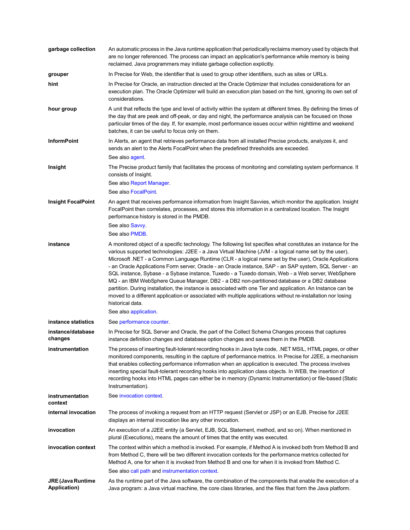| garbage collection                              | An automatic process in the Java runtime application that periodically reclaims memory used by objects that<br>are no longer referenced. The process can impact an application's performance while memory is being<br>reclaimed. Java programmers may initiate garbage collection explicitly.                                                                                                                                                                                                                                                                                                                                                                                                                                                                                                                                                                                                                                 |
|-------------------------------------------------|-------------------------------------------------------------------------------------------------------------------------------------------------------------------------------------------------------------------------------------------------------------------------------------------------------------------------------------------------------------------------------------------------------------------------------------------------------------------------------------------------------------------------------------------------------------------------------------------------------------------------------------------------------------------------------------------------------------------------------------------------------------------------------------------------------------------------------------------------------------------------------------------------------------------------------|
| grouper                                         | In Precise for Web, the identifier that is used to group other identifiers, such as sites or URLs.                                                                                                                                                                                                                                                                                                                                                                                                                                                                                                                                                                                                                                                                                                                                                                                                                            |
| hint                                            | In Precise for Oracle, an instruction directed at the Oracle Optimizer that includes considerations for an<br>execution plan. The Oracle Optimizer will build an execution plan based on the hint, ignoring its own set of<br>considerations.                                                                                                                                                                                                                                                                                                                                                                                                                                                                                                                                                                                                                                                                                 |
| hour group                                      | A unit that reflects the type and level of activity within the system at different times. By defining the times of<br>the day that are peak and off-peak, or day and night, the performance analysis can be focused on those<br>particular times of the day. If, for example, most performance issues occur within nighttime and weekend<br>batches, it can be useful to focus only on them.                                                                                                                                                                                                                                                                                                                                                                                                                                                                                                                                  |
| <b>InformPoint</b>                              | In Alerts, an agent that retrieves performance data from all installed Precise products, analyzes it, and<br>sends an alert to the Alerts FocalPoint when the predefined thresholds are exceeded.<br>See also agent.                                                                                                                                                                                                                                                                                                                                                                                                                                                                                                                                                                                                                                                                                                          |
| Insight                                         | The Precise product family that facilitates the process of monitoring and correlating system performance. It<br>consists of Insight.                                                                                                                                                                                                                                                                                                                                                                                                                                                                                                                                                                                                                                                                                                                                                                                          |
|                                                 | See also Report Manager.                                                                                                                                                                                                                                                                                                                                                                                                                                                                                                                                                                                                                                                                                                                                                                                                                                                                                                      |
|                                                 | See also FocalPoint.                                                                                                                                                                                                                                                                                                                                                                                                                                                                                                                                                                                                                                                                                                                                                                                                                                                                                                          |
| <b>Insight FocalPoint</b>                       | An agent that receives performance information from Insight Savvies, which monitor the application. Insight<br>FocalPoint then correlates, processes, and stores this information in a centralized location. The Insight<br>performance history is stored in the PMDB.                                                                                                                                                                                                                                                                                                                                                                                                                                                                                                                                                                                                                                                        |
|                                                 | See also Savvy<br>See also PMDB.                                                                                                                                                                                                                                                                                                                                                                                                                                                                                                                                                                                                                                                                                                                                                                                                                                                                                              |
| instance                                        | A monitored object of a specific technology. The following list specifies what constitutes an instance for the<br>various supported technologies: J2EE - a Java Virtual Machine (JVM - a logical name set by the user),<br>Microsoft .NET - a Common Language Runtime (CLR - a logical name set by the user), Oracle Applications<br>- an Oracle Applications Form server, Oracle - an Oracle instance, SAP - an SAP system, SQL Server - an<br>SQL instance, Sybase - a Sybase instance, Tuxedo - a Tuxedo domain, Web - a Web server, WebSphere<br>MQ - an IBM WebSphere Queue Manager, DB2 - a DB2 non-partitioned database or a DB2 database<br>partition. During installation, the instance is associated with one Tier and application. An Instance can be<br>moved to a different application or associated with multiple applications without re-installation nor losing<br>historical data.<br>See also application. |
| instance statistics                             | See performance counter                                                                                                                                                                                                                                                                                                                                                                                                                                                                                                                                                                                                                                                                                                                                                                                                                                                                                                       |
| instance/database<br>changes                    | In Precise for SQL Server and Oracle, the part of the Collect Schema Changes process that captures<br>instance definition changes and database option changes and saves them in the PMDB.                                                                                                                                                                                                                                                                                                                                                                                                                                                                                                                                                                                                                                                                                                                                     |
| instrumentation                                 | The process of inserting fault-tolerant recording hooks in Java byte code, .NET MSIL, HTML pages, or other<br>monitored components, resulting in the capture of performance metrics. In Precise for J2EE, a mechanism<br>that enables collecting performance information when an application is executed. The process involves<br>inserting special fault-tolerant recording hooks into application class objects. In WEB, the insertion of<br>recording hooks into HTML pages can either be in memory (Dynamic Instrumentation) or file-based (Static<br>Instrumentation).                                                                                                                                                                                                                                                                                                                                                   |
| instrumentation<br>context                      | See invocation context.                                                                                                                                                                                                                                                                                                                                                                                                                                                                                                                                                                                                                                                                                                                                                                                                                                                                                                       |
| internal invocation                             | The process of invoking a request from an HTTP request (Servlet or JSP) or an EJB. Precise for J2EE<br>displays an internal invocation like any other invocation.                                                                                                                                                                                                                                                                                                                                                                                                                                                                                                                                                                                                                                                                                                                                                             |
| invocation                                      | An execution of a J2EE entity (a Servlet, EJB, SQL Statement, method, and so on). When mentioned in<br>plural (Executions), means the amount of times that the entity was executed.                                                                                                                                                                                                                                                                                                                                                                                                                                                                                                                                                                                                                                                                                                                                           |
| invocation context                              | The context within which a method is invoked. For example, if Method A is invoked both from Method B and<br>from Method C, there will be two different invocation contexts for the performance metrics collected for<br>Method A, one for when it is invoked from Method B and one for when it is invoked from Method C.<br>See also call path and instrumentation context.                                                                                                                                                                                                                                                                                                                                                                                                                                                                                                                                                   |
| <b>JRE (Java Runtime</b><br><b>Application)</b> | As the runtime part of the Java software, the combination of the components that enable the execution of a<br>Java program: a Java virtual machine, the core class libraries, and the files that form the Java platform.                                                                                                                                                                                                                                                                                                                                                                                                                                                                                                                                                                                                                                                                                                      |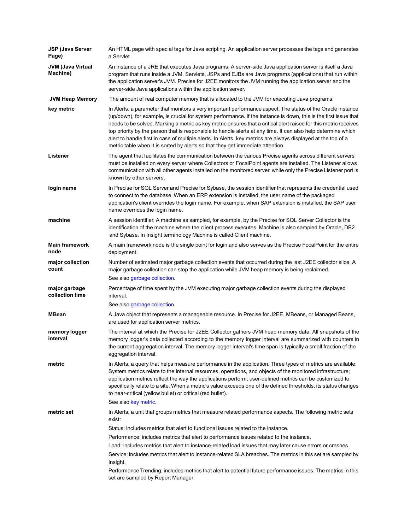| JSP (Java Server<br>Page)            | An HTML page with special tags for Java scripting. An application server processes the tags and generates<br>a Servlet.                                                                                                                                                                                                                                                                                                                                                                                                                                                                                                                                                 |
|--------------------------------------|-------------------------------------------------------------------------------------------------------------------------------------------------------------------------------------------------------------------------------------------------------------------------------------------------------------------------------------------------------------------------------------------------------------------------------------------------------------------------------------------------------------------------------------------------------------------------------------------------------------------------------------------------------------------------|
| <b>JVM (Java Virtual</b><br>Machine) | An instance of a JRE that executes Java programs. A server-side Java application server is itself a Java<br>program that runs inside a JVM. Servlets, JSPs and EJBs are Java programs (applications) that run within<br>the application server's JVM. Precise for J2EE monitors the JVM running the application server and the<br>server-side Java applications within the application server.                                                                                                                                                                                                                                                                          |
| <b>JVM Heap Memory</b>               | The amount of real computer memory that is allocated to the JVM for executing Java programs.                                                                                                                                                                                                                                                                                                                                                                                                                                                                                                                                                                            |
| key metric                           | In Alerts, a parameter that monitors a very important performance aspect. The status of the Oracle instance<br>(up/down), for example, is crucial for system performance. If the instance is down, this is the first issue that<br>needs to be solved. Marking a metric as key metric ensures that a critical alert raised for this metric receives<br>top priority by the person that is responsible to handle alerts at any time. It can also help determine which<br>alert to handle first in case of multiple alerts. In Alerts, key metrics are always displayed at the top of a<br>metric table when it is sorted by alerts so that they get immediate attention. |
| Listener                             | The agent that facilitates the communication between the various Precise agents across different servers<br>must be installed on every server where Collectors or FocalPoint agents are installed. The Listener allows<br>communication with all other agents installed on the monitored server, while only the Precise Listener port is<br>known by other servers.                                                                                                                                                                                                                                                                                                     |
| login name                           | In Precise for SQL Server and Precise for Sybase, the session identifier that represents the credential used<br>to connect to the database. When an ERP extension is installed, the user name of the packaged<br>application's client overrides the login name. For example, when SAP extension is installed, the SAP user<br>name overrides the login name.                                                                                                                                                                                                                                                                                                            |
| machine                              | A session identifier. A machine as sampled, for example, by the Precise for SQL Server Collector is the<br>identification of the machine where the client process executes. Machine is also sampled by Oracle, DB2<br>and Sybase. In Insight terminology Machine is called Client machine.                                                                                                                                                                                                                                                                                                                                                                              |
| <b>Main framework</b><br>node        | A main framework node is the single point for login and also serves as the Precise FocalPoint for the entire<br>deployment.                                                                                                                                                                                                                                                                                                                                                                                                                                                                                                                                             |
| major collection<br>count            | Number of estimated major garbage collection events that occurred during the last J2EE collector slice. A<br>major garbage collection can stop the application while JVM heap memory is being reclaimed.<br>See also garbage collection.                                                                                                                                                                                                                                                                                                                                                                                                                                |
| major garbage<br>collection time     | Percentage of time spent by the JVM executing major garbage collection events during the displayed<br>interval.<br>See also garbage collection.                                                                                                                                                                                                                                                                                                                                                                                                                                                                                                                         |
| <b>MBean</b>                         | A Java object that represents a manageable resource. In Precise for J2EE, MBeans, or Managed Beans,<br>are used for application server metrics.                                                                                                                                                                                                                                                                                                                                                                                                                                                                                                                         |
| memory logger<br>interval            | The interval at which the Precise for J2EE Collector gathers JVM heap memory data. All snapshots of the<br>memory logger's data collected according to the memory logger interval are summarized with counters in<br>the current aggregation interval. The memory logger interval's time span is typically a small fraction of the<br>aggregation interval.                                                                                                                                                                                                                                                                                                             |
| metric                               | In Alerts, a query that helps measure performance in the application. Three types of metrics are available:<br>System metrics relate to the internal resources, operations, and objects of the monitored infrastructure;<br>application metrics reflect the way the applications perform; user-defined metrics can be customized to<br>specifically relate to a site. When a metric's value exceeds one of the defined thresholds, its status changes<br>to near-critical (yellow bullet) or critical (red bullet).<br>See also key metric.                                                                                                                             |
| metric set                           | In Alerts, a unit that groups metrics that measure related performance aspects. The following metric sets                                                                                                                                                                                                                                                                                                                                                                                                                                                                                                                                                               |
|                                      | exist:                                                                                                                                                                                                                                                                                                                                                                                                                                                                                                                                                                                                                                                                  |
|                                      | Status: includes metrics that alert to functional issues related to the instance.                                                                                                                                                                                                                                                                                                                                                                                                                                                                                                                                                                                       |
|                                      | Performance: includes metrics that alert to performance issues related to the instance.                                                                                                                                                                                                                                                                                                                                                                                                                                                                                                                                                                                 |
|                                      | Load: includes metrics that alert to instance-related load issues that may later cause errors or crashes.<br>Service: includes metrics that alert to instance-related SLA breaches. The metrics in this set are sampled by<br>Insight.                                                                                                                                                                                                                                                                                                                                                                                                                                  |
|                                      | Performance Trending: includes metrics that alert to potential future performance issues. The metrics in this<br>set are sampled by Report Manager.                                                                                                                                                                                                                                                                                                                                                                                                                                                                                                                     |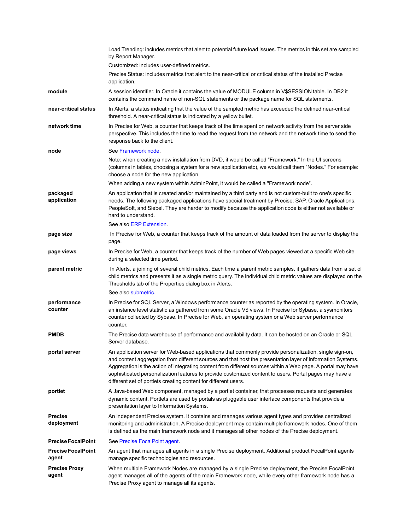|                                    | Load Trending: includes metrics that alert to potential future load issues. The metrics in this set are sampled<br>by Report Manager.                                                                                                                                                                                                                                                                                                                                                                               |
|------------------------------------|---------------------------------------------------------------------------------------------------------------------------------------------------------------------------------------------------------------------------------------------------------------------------------------------------------------------------------------------------------------------------------------------------------------------------------------------------------------------------------------------------------------------|
|                                    | Customized: includes user-defined metrics.                                                                                                                                                                                                                                                                                                                                                                                                                                                                          |
|                                    | Precise Status: includes metrics that alert to the near-critical or critical status of the installed Precise<br>application.                                                                                                                                                                                                                                                                                                                                                                                        |
| module                             | A session identifier. In Oracle it contains the value of MODULE column in V\$SESSION table. In DB2 it<br>contains the command name of non-SQL statements or the package name for SQL statements.                                                                                                                                                                                                                                                                                                                    |
| near-critical status               | In Alerts, a status indicating that the value of the sampled metric has exceeded the defined near-critical<br>threshold. A near-critical status is indicated by a yellow bullet.                                                                                                                                                                                                                                                                                                                                    |
| network time                       | In Precise for Web, a counter that keeps track of the time spent on network activity from the server side<br>perspective. This includes the time to read the request from the network and the network time to send the<br>response back to the client.                                                                                                                                                                                                                                                              |
| node                               | See Framework node                                                                                                                                                                                                                                                                                                                                                                                                                                                                                                  |
|                                    | Note: when creating a new installation from DVD, it would be called "Framework." In the UI screens<br>(columns in tables, choosing a system for a new application etc), we would call them "Nodes." For example:<br>choose a node for the new application.                                                                                                                                                                                                                                                          |
|                                    | When adding a new system within AdminPoint, it would be called a "Framework node".                                                                                                                                                                                                                                                                                                                                                                                                                                  |
| packaged<br>application            | An application that is created and/or maintained by a third party and is not custom-built to one's specific<br>needs. The following packaged applications have special treatment by Precise: SAP, Oracle Applications,<br>PeopleSoft, and Siebel. They are harder to modify because the application code is either not available or<br>hard to understand.                                                                                                                                                          |
|                                    | See also ERP Extension.                                                                                                                                                                                                                                                                                                                                                                                                                                                                                             |
| page size                          | In Precise for Web, a counter that keeps track of the amount of data loaded from the server to display the<br>page.                                                                                                                                                                                                                                                                                                                                                                                                 |
| page views                         | In Precise for Web, a counter that keeps track of the number of Web pages viewed at a specific Web site<br>during a selected time period.                                                                                                                                                                                                                                                                                                                                                                           |
| parent metric                      | In Alerts, a joining of several child metrics. Each time a parent metric samples, it gathers data from a set of<br>child metrics and presents it as a single metric query. The individual child metric values are displayed on the<br>Thresholds tab of the Properties dialog box in Alerts.                                                                                                                                                                                                                        |
|                                    | See also submetric.                                                                                                                                                                                                                                                                                                                                                                                                                                                                                                 |
| performance<br>counter             | In Precise for SQL Server, a Windows performance counter as reported by the operating system. In Oracle,<br>an instance level statistic as gathered from some Oracle V\$ views. In Precise for Sybase, a sysmonitors<br>counter collected by Sybase. In Precise for Web, an operating system or a Web server performance<br>counter.                                                                                                                                                                                |
| <b>PMDB</b>                        | The Precise data warehouse of performance and availability data. It can be hosted on an Oracle or SQL<br>Server database.                                                                                                                                                                                                                                                                                                                                                                                           |
| portal server                      | An application server for Web-based applications that commonly provide personalization, single sign-on,<br>and content aggregation from different sources and that host the presentation layer of Information Systems.<br>Aggregation is the action of integrating content from different sources within a Web page. A portal may have<br>sophisticated personalization features to provide customized content to users. Portal pages may have a<br>different set of portlets creating content for different users. |
| portlet                            | A Java-based Web component, managed by a portlet container, that processes requests and generates<br>dynamic content. Portlets are used by portals as pluggable user interface components that provide a<br>presentation layer to Information Systems.                                                                                                                                                                                                                                                              |
| <b>Precise</b><br>deployment       | An independent Precise system. It contains and manages various agent types and provides centralized<br>monitoring and administration. A Precise deployment may contain multiple framework nodes. One of them<br>is defined as the main framework node and it manages all other nodes of the Precise deployment.                                                                                                                                                                                                     |
| <b>Precise FocalPoint</b>          | See Precise FocalPoint agent                                                                                                                                                                                                                                                                                                                                                                                                                                                                                        |
| <b>Precise FocalPoint</b><br>agent | An agent that manages all agents in a single Precise deployment. Additional product FocalPoint agents<br>manage specific technologies and resources.                                                                                                                                                                                                                                                                                                                                                                |
| <b>Precise Proxy</b><br>agent      | When multiple Framework Nodes are managed by a single Precise deployment, the Precise FocalPoint<br>agent manages all of the agents of the main Framework node, while every other framework node has a<br>Precise Proxy agent to manage all its agents.                                                                                                                                                                                                                                                             |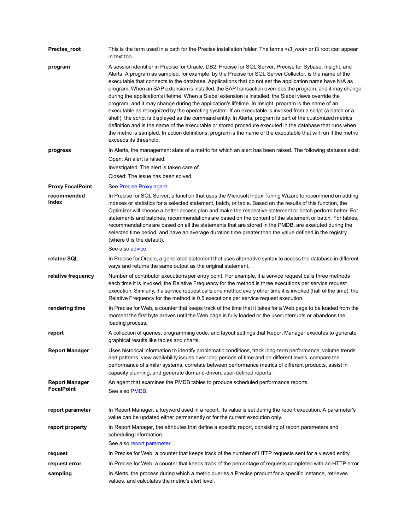| Precise_root                               | This is the term used in a path for the Precise installation folder. The terms <i3_root> or i3 root can appear<br/>in text too.</i3_root>                                                                                                                                                                                                                                                                                                                                                                                                                                                                                                                                                                                                                                                                                                                                                                                                                                                                                                                                                                                                         |
|--------------------------------------------|---------------------------------------------------------------------------------------------------------------------------------------------------------------------------------------------------------------------------------------------------------------------------------------------------------------------------------------------------------------------------------------------------------------------------------------------------------------------------------------------------------------------------------------------------------------------------------------------------------------------------------------------------------------------------------------------------------------------------------------------------------------------------------------------------------------------------------------------------------------------------------------------------------------------------------------------------------------------------------------------------------------------------------------------------------------------------------------------------------------------------------------------------|
| program                                    | A session identifier in Precise for Oracle, DB2, Precise for SQL Server, Precise for Sybase, Insight, and<br>Alerts. A program as sampled, for example, by the Precise for SQL Server Collector, is the name of the<br>executable that connects to the database. Applications that do not set the application name have N/A as<br>program. When an SAP extension is installed, the SAP transaction overrides the program, and it may change<br>during the application's lifetime. When a Siebel extension is installed, the Siebel views override the<br>program, and it may change during the application's lifetime. In Insight, program is the name of an<br>executable as recognized by the operating system. If an executable is invoked from a script (a batch or a<br>shell), the script is displayed as the command entity. In Alerts, program is part of the customized metrics<br>definition and is the name of the executable or stored procedure executed in the database that runs when<br>the metric is sampled. In action definitions, program is the name of the executable that will run if the metric<br>exceeds its threshold. |
| progress                                   | In Alerts, the management state of a metric for which an alert has been raised. The following statuses exist:                                                                                                                                                                                                                                                                                                                                                                                                                                                                                                                                                                                                                                                                                                                                                                                                                                                                                                                                                                                                                                     |
|                                            | Open: An alert is raised.                                                                                                                                                                                                                                                                                                                                                                                                                                                                                                                                                                                                                                                                                                                                                                                                                                                                                                                                                                                                                                                                                                                         |
|                                            | Investigated: The alert is taken care of.                                                                                                                                                                                                                                                                                                                                                                                                                                                                                                                                                                                                                                                                                                                                                                                                                                                                                                                                                                                                                                                                                                         |
|                                            | Closed: The issue has been solved.                                                                                                                                                                                                                                                                                                                                                                                                                                                                                                                                                                                                                                                                                                                                                                                                                                                                                                                                                                                                                                                                                                                |
| <b>Proxy FocalPoint</b>                    | See Precise Proxy agent                                                                                                                                                                                                                                                                                                                                                                                                                                                                                                                                                                                                                                                                                                                                                                                                                                                                                                                                                                                                                                                                                                                           |
| recommended<br>index                       | In Precise for SQL Server, a function that uses the Microsoft Index Tuning Wizard to recommend on adding<br>indexes or statistics for a selected statement, batch, or table. Based on the results of this function, the<br>Optimizer will choose a better access plan and make the respective statement or batch perform better. For<br>statements and batches, recommendations are based on the content of the statement or batch. For tables,<br>recommendations are based on all the statements that are stored in the PMDB, are executed during the<br>selected time period, and have an average duration time greater than the value defined in the registry<br>(where 0 is the default).                                                                                                                                                                                                                                                                                                                                                                                                                                                    |
|                                            | See also advice.                                                                                                                                                                                                                                                                                                                                                                                                                                                                                                                                                                                                                                                                                                                                                                                                                                                                                                                                                                                                                                                                                                                                  |
| related SQL                                | In Precise for Oracle, a generated statement that uses alternative syntax to access the database in different<br>ways and returns the same output as the original statement.                                                                                                                                                                                                                                                                                                                                                                                                                                                                                                                                                                                                                                                                                                                                                                                                                                                                                                                                                                      |
| relative frequency                         | Number of contributor executions per entry point. For example, if a service request calls three methods<br>each time it is invoked, the Relative Frequency for the method is three executions per service request<br>execution. Similarly, if a service request calls one method every other time it is invoked (half of the time), the<br>Relative Frequency for the method is 0.5 executions per service request execution.                                                                                                                                                                                                                                                                                                                                                                                                                                                                                                                                                                                                                                                                                                                     |
| rendering time                             | In Precise for Web, a counter that keeps track of the time that it takes for a Web page to be loaded from the<br>moment the first byte arrives until the Web page is fully loaded or the user interrupts or abandons the<br>loading process.                                                                                                                                                                                                                                                                                                                                                                                                                                                                                                                                                                                                                                                                                                                                                                                                                                                                                                      |
| report                                     | A collection of queries, programming code, and layout settings that Report Manager executes to generate<br>graphical results like tables and charts.                                                                                                                                                                                                                                                                                                                                                                                                                                                                                                                                                                                                                                                                                                                                                                                                                                                                                                                                                                                              |
| <b>Report Manager</b>                      | Uses historical information to identify problematic conditions, track long-term performance, volume trends<br>and patterns, view availability issues over long periods of time and on different levels, compare the<br>performance of similar systems, correlate between performance metrics of different products, assist in<br>capacity planning, and generate demand-driven, user-defined reports.                                                                                                                                                                                                                                                                                                                                                                                                                                                                                                                                                                                                                                                                                                                                             |
| <b>Report Manager</b><br><b>FocalPoint</b> | An agent that examines the PMDB tables to produce scheduled performance reports.<br>See also PMDB.                                                                                                                                                                                                                                                                                                                                                                                                                                                                                                                                                                                                                                                                                                                                                                                                                                                                                                                                                                                                                                                |
| report parameter                           | In Report Manager, a keyword used in a report. Its value is set during the report execution. A parameter's<br>value can be updated either permanently or for the current execution only.                                                                                                                                                                                                                                                                                                                                                                                                                                                                                                                                                                                                                                                                                                                                                                                                                                                                                                                                                          |
| report property                            | In Report Manager, the attributes that define a specific report, consisting of report parameters and<br>scheduling information.<br>See also report parameter.                                                                                                                                                                                                                                                                                                                                                                                                                                                                                                                                                                                                                                                                                                                                                                                                                                                                                                                                                                                     |
| request                                    | In Precise for Web, a counter that keeps track of the number of HTTP requests sent for a viewed entity.                                                                                                                                                                                                                                                                                                                                                                                                                                                                                                                                                                                                                                                                                                                                                                                                                                                                                                                                                                                                                                           |
| request error                              | In Precise for Web, a counter that keeps track of the percentage of requests completed with an HTTP error.                                                                                                                                                                                                                                                                                                                                                                                                                                                                                                                                                                                                                                                                                                                                                                                                                                                                                                                                                                                                                                        |
| sampling                                   | In Alerts, the process during which a metric queries a Precise product for a specific instance, retrieves<br>values, and calculates the metric's alert level.                                                                                                                                                                                                                                                                                                                                                                                                                                                                                                                                                                                                                                                                                                                                                                                                                                                                                                                                                                                     |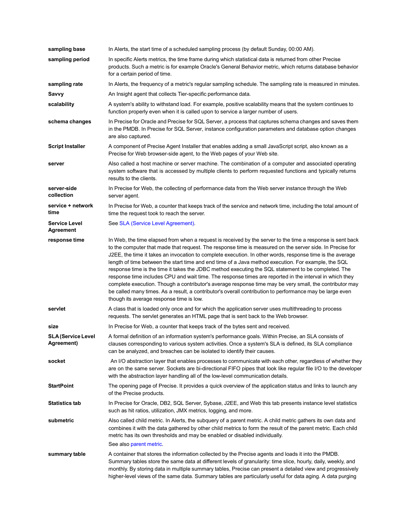| sampling base                            | In Alerts, the start time of a scheduled sampling process (by default Sunday, 00:00 AM).                                                                                                                                                                                                                                                                                                                                                                                                                                                                                                                                                                                                                                                                                                                                                                                                                                        |
|------------------------------------------|---------------------------------------------------------------------------------------------------------------------------------------------------------------------------------------------------------------------------------------------------------------------------------------------------------------------------------------------------------------------------------------------------------------------------------------------------------------------------------------------------------------------------------------------------------------------------------------------------------------------------------------------------------------------------------------------------------------------------------------------------------------------------------------------------------------------------------------------------------------------------------------------------------------------------------|
| sampling period                          | In specific Alerts metrics, the time frame during which statistical data is returned from other Precise<br>products. Such a metric is for example Oracle's General Behavior metric, which returns database behavior<br>for a certain period of time.                                                                                                                                                                                                                                                                                                                                                                                                                                                                                                                                                                                                                                                                            |
| sampling rate                            | In Alerts, the frequency of a metric's regular sampling schedule. The sampling rate is measured in minutes.                                                                                                                                                                                                                                                                                                                                                                                                                                                                                                                                                                                                                                                                                                                                                                                                                     |
| Savvy                                    | An Insight agent that collects Tier-specific performance data.                                                                                                                                                                                                                                                                                                                                                                                                                                                                                                                                                                                                                                                                                                                                                                                                                                                                  |
| scalability                              | A system's ability to withstand load. For example, positive scalability means that the system continues to<br>function properly even when it is called upon to service a larger number of users.                                                                                                                                                                                                                                                                                                                                                                                                                                                                                                                                                                                                                                                                                                                                |
| schema changes                           | In Precise for Oracle and Precise for SQL Server, a process that captures schema changes and saves them<br>in the PMDB. In Precise for SQL Server, instance configuration parameters and database option changes<br>are also captured.                                                                                                                                                                                                                                                                                                                                                                                                                                                                                                                                                                                                                                                                                          |
| <b>Script Installer</b>                  | A component of Precise Agent Installer that enables adding a small JavaScript script, also known as a<br>Precise for Web browser-side agent, to the Web pages of your Web site.                                                                                                                                                                                                                                                                                                                                                                                                                                                                                                                                                                                                                                                                                                                                                 |
| server                                   | Also called a host machine or server machine. The combination of a computer and associated operating<br>system software that is accessed by multiple clients to perform requested functions and typically returns<br>results to the clients.                                                                                                                                                                                                                                                                                                                                                                                                                                                                                                                                                                                                                                                                                    |
| server-side<br>collection                | In Precise for Web, the collecting of performance data from the Web server instance through the Web<br>server agent.                                                                                                                                                                                                                                                                                                                                                                                                                                                                                                                                                                                                                                                                                                                                                                                                            |
| service + network<br>time                | In Precise for Web, a counter that keeps track of the service and network time, including the total amount of<br>time the request took to reach the server.                                                                                                                                                                                                                                                                                                                                                                                                                                                                                                                                                                                                                                                                                                                                                                     |
| <b>Service Level</b><br><b>Agreement</b> | See SLA (Service Level Agreement).                                                                                                                                                                                                                                                                                                                                                                                                                                                                                                                                                                                                                                                                                                                                                                                                                                                                                              |
| response time                            | In Web, the time elapsed from when a request is received by the server to the time a response is sent back<br>to the computer that made that request. The response time is measured on the server side. In Precise for<br>J2EE, the time it takes an invocation to complete execution. In other words, response time is the average<br>length of time between the start time and end time of a Java method execution. For example, the SQL<br>response time is the time it takes the JDBC method executing the SQL statement to be completed. The<br>response time includes CPU and wait time. The response times are reported in the interval in which they<br>complete execution. Though a contributor's average response time may be very small, the contributor may<br>be called many times. As a result, a contributor's overall contribution to performance may be large even<br>though its average response time is low. |
| servlet                                  | A class that is loaded only once and for which the application server uses multithreading to process<br>requests. The servlet generates an HTML page that is sent back to the Web browser.                                                                                                                                                                                                                                                                                                                                                                                                                                                                                                                                                                                                                                                                                                                                      |
| size                                     | In Precise for Web, a counter that keeps track of the bytes sent and received.                                                                                                                                                                                                                                                                                                                                                                                                                                                                                                                                                                                                                                                                                                                                                                                                                                                  |
| <b>SLA (Service Level</b><br>Agreement)  | A formal definition of an information system's performance goals. Within Precise, an SLA consists of<br>clauses corresponding to various system activities. Once a system's SLA is defined, its SLA compliance<br>can be analyzed, and breaches can be isolated to identify their causes.                                                                                                                                                                                                                                                                                                                                                                                                                                                                                                                                                                                                                                       |
| socket                                   | An I/O abstraction layer that enables processes to communicate with each other, regardless of whether they<br>are on the same server. Sockets are bi-directional FIFO pipes that look like regular file I/O to the developer<br>with the abstraction layer handling all of the low-level communication details.                                                                                                                                                                                                                                                                                                                                                                                                                                                                                                                                                                                                                 |
| <b>StartPoint</b>                        | The opening page of Precise. It provides a quick overview of the application status and links to launch any<br>of the Precise products.                                                                                                                                                                                                                                                                                                                                                                                                                                                                                                                                                                                                                                                                                                                                                                                         |
| <b>Statistics tab</b>                    | In Precise for Oracle, DB2, SQL Server, Sybase, J2EE, and Web this tab presents instance level statistics<br>such as hit ratios, utilization, JMX metrics, logging, and more.                                                                                                                                                                                                                                                                                                                                                                                                                                                                                                                                                                                                                                                                                                                                                   |
| submetric                                | Also called child metric. In Alerts, the subguery of a parent metric. A child metric gathers its own data and<br>combines it with the data gathered by other child metrics to form the result of the parent metric. Each child<br>metric has its own thresholds and may be enabled or disabled individually.<br>See also parent metric.                                                                                                                                                                                                                                                                                                                                                                                                                                                                                                                                                                                         |
| summary table                            | A container that stores the information collected by the Precise agents and loads it into the PMDB.<br>Summary tables store the same data at different levels of granularity: time slice, hourly, daily, weekly, and<br>monthly. By storing data in multiple summary tables, Precise can present a detailed view and progressively<br>higher-level views of the same data. Summary tables are particularly useful for data aging. A data purging                                                                                                                                                                                                                                                                                                                                                                                                                                                                                |